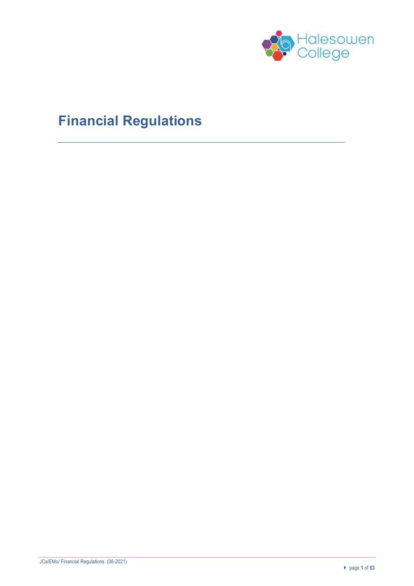

# **Financial Regulations**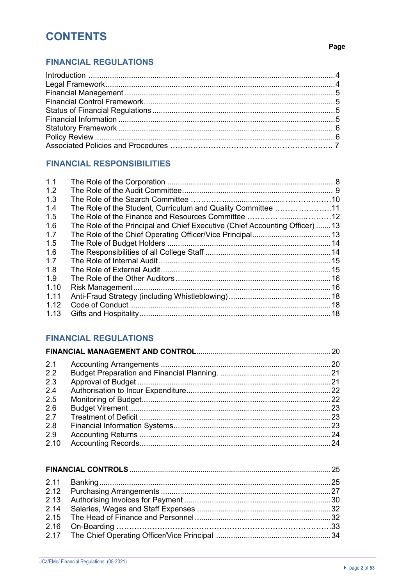# **CONTENTS**

#### Page

# **FINANCIAL REGULATIONS**

# **FINANCIAL RESPONSIBILITIES**

| 1.1  |                                                                             |  |
|------|-----------------------------------------------------------------------------|--|
| 1.2  |                                                                             |  |
| 1.3  |                                                                             |  |
| 1.4  | The Role of the Student, Curriculum and Quality Committee 11                |  |
| 1.5  |                                                                             |  |
| 1.6  | The Role of the Principal and Chief Executive (Chief Accounting Officer) 13 |  |
| 1.7  |                                                                             |  |
| 1.5  |                                                                             |  |
| 1.6  |                                                                             |  |
| 1.7  |                                                                             |  |
| 1.8  |                                                                             |  |
| 1.9  |                                                                             |  |
| 1.10 |                                                                             |  |
| 1.11 |                                                                             |  |
| 1.12 |                                                                             |  |
| 1.13 |                                                                             |  |
|      |                                                                             |  |

# **FINANCIAL REGULATIONS**

| 2.1  |  |
|------|--|
| 2.2  |  |
| 2.3  |  |
| 2.4  |  |
| 2.5  |  |
| 2.6  |  |
| 2.7  |  |
| 2.8  |  |
| 2.9  |  |
| 2.10 |  |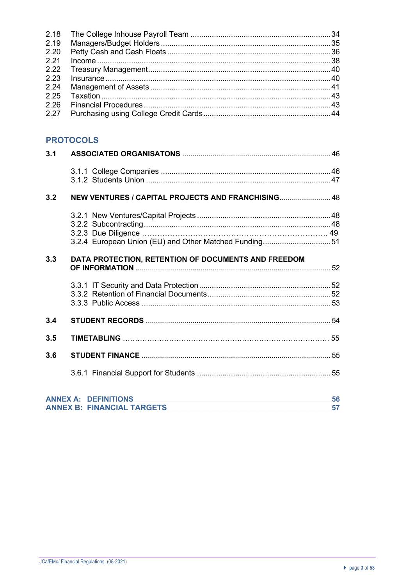# **PROTOCOLS**

| 3.1 |                                                                  |          |
|-----|------------------------------------------------------------------|----------|
|     |                                                                  |          |
| 3.2 | NEW VENTURES / CAPITAL PROJECTS AND FRANCHISING 48               |          |
|     |                                                                  |          |
|     | 3.2.4 European Union (EU) and Other Matched Funding51            |          |
| 3.3 | DATA PROTECTION, RETENTION OF DOCUMENTS AND FREEDOM              |          |
|     |                                                                  |          |
| 3.4 |                                                                  |          |
| 3.5 |                                                                  |          |
| 3.6 |                                                                  |          |
|     |                                                                  |          |
|     | <b>ANNEX A: DEFINITIONS</b><br><b>ANNEX B: FINANCIAL TARGETS</b> | 56<br>57 |
|     |                                                                  |          |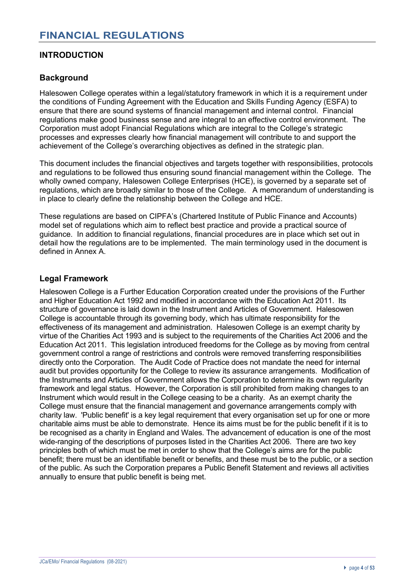# **INTRODUCTION**

# **Background**

Halesowen College operates within a legal/statutory framework in which it is a requirement under the conditions of Funding Agreement with the Education and Skills Funding Agency (ESFA) to ensure that there are sound systems of financial management and internal control. Financial regulations make good business sense and are integral to an effective control environment. The Corporation must adopt Financial Regulations which are integral to the College's strategic processes and expresses clearly how financial management will contribute to and support the achievement of the College's overarching objectives as defined in the strategic plan.

This document includes the financial objectives and targets together with responsibilities, protocols and regulations to be followed thus ensuring sound financial management within the College. The wholly owned company, Halesowen College Enterprises (HCE), is governed by a separate set of regulations, which are broadly similar to those of the College. A memorandum of understanding is in place to clearly define the relationship between the College and HCE.

These regulations are based on CIPFA's (Chartered Institute of Public Finance and Accounts) model set of regulations which aim to reflect best practice and provide a practical source of guidance. In addition to financial regulations, financial procedures are in place which set out in detail how the regulations are to be implemented. The main terminology used in the document is defined in Annex A.

#### **Legal Framework**

Halesowen College is a Further Education Corporation created under the provisions of the Further and Higher Education Act 1992 and modified in accordance with the Education Act 2011. Its structure of governance is laid down in the Instrument and Articles of Government. Halesowen College is accountable through its governing body, which has ultimate responsibility for the effectiveness of its management and administration. Halesowen College is an exempt charity by virtue of the Charities Act 1993 and is subject to the requirements of the Charities Act 2006 and the Education Act 2011. This legislation introduced freedoms for the College as by moving from central government control a range of restrictions and controls were removed transferring responsibilities directly onto the Corporation. The Audit Code of Practice does not mandate the need for internal audit but provides opportunity for the College to review its assurance arrangements. Modification of the Instruments and Articles of Government allows the Corporation to determine its own regularity framework and legal status. However, the Corporation is still prohibited from making changes to an Instrument which would result in the College ceasing to be a charity. As an exempt charity the College must ensure that the financial management and governance arrangements comply with charity law. 'Public benefit' is a key legal requirement that every organisation set up for one or more charitable aims must be able to demonstrate. Hence its aims must be for the public benefit if it is to be recognised as a charity in England and Wales. The advancement of education is one of the most wide-ranging of the descriptions of purposes listed in the Charities Act 2006. There are two key principles both of which must be met in order to show that the College's aims are for the public benefit; there must be an identifiable benefit or benefits, and these must be to the public, or a section of the public. As such the Corporation prepares a Public Benefit Statement and reviews all activities annually to ensure that public benefit is being met.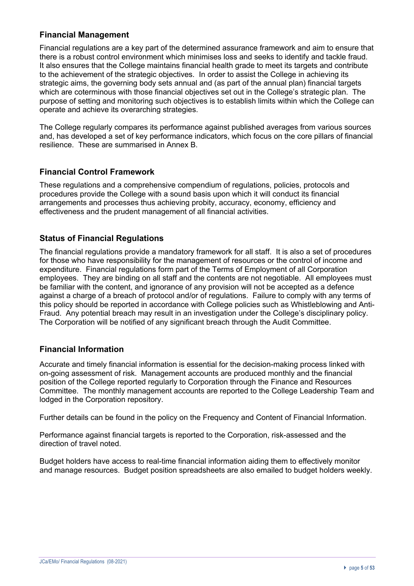## **Financial Management**

Financial regulations are a key part of the determined assurance framework and aim to ensure that there is a robust control environment which minimises loss and seeks to identify and tackle fraud. It also ensures that the College maintains financial health grade to meet its targets and contribute to the achievement of the strategic objectives. In order to assist the College in achieving its strategic aims, the governing body sets annual and (as part of the annual plan) financial targets which are coterminous with those financial objectives set out in the College's strategic plan. The purpose of setting and monitoring such objectives is to establish limits within which the College can operate and achieve its overarching strategies.

The College regularly compares its performance against published averages from various sources and, has developed a set of key performance indicators, which focus on the core pillars of financial resilience. These are summarised in Annex B.

#### **Financial Control Framework**

These regulations and a comprehensive compendium of regulations, policies, protocols and procedures provide the College with a sound basis upon which it will conduct its financial arrangements and processes thus achieving probity, accuracy, economy, efficiency and effectiveness and the prudent management of all financial activities.

#### **Status of Financial Regulations**

The financial regulations provide a mandatory framework for all staff. It is also a set of procedures for those who have responsibility for the management of resources or the control of income and expenditure. Financial regulations form part of the Terms of Employment of all Corporation employees. They are binding on all staff and the contents are not negotiable. All employees must be familiar with the content, and ignorance of any provision will not be accepted as a defence against a charge of a breach of protocol and/or of regulations. Failure to comply with any terms of this policy should be reported in accordance with College policies such as Whistleblowing and Anti-Fraud. Any potential breach may result in an investigation under the College's disciplinary policy. The Corporation will be notified of any significant breach through the Audit Committee.

## **Financial Information**

Accurate and timely financial information is essential for the decision-making process linked with on-going assessment of risk. Management accounts are produced monthly and the financial position of the College reported regularly to Corporation through the Finance and Resources Committee. The monthly management accounts are reported to the College Leadership Team and lodged in the Corporation repository.

Further details can be found in the policy on the Frequency and Content of Financial Information.

Performance against financial targets is reported to the Corporation, risk-assessed and the direction of travel noted.

Budget holders have access to real-time financial information aiding them to effectively monitor and manage resources. Budget position spreadsheets are also emailed to budget holders weekly.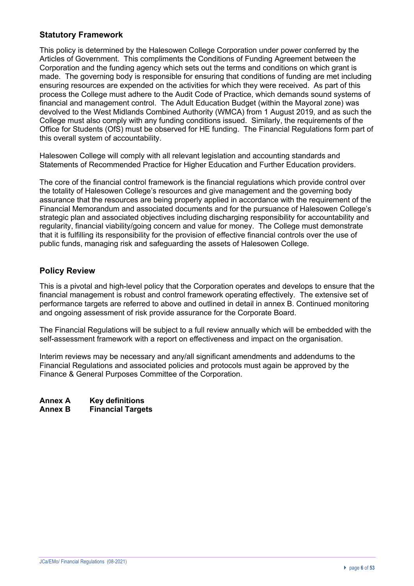# **Statutory Framework**

This policy is determined by the Halesowen College Corporation under power conferred by the Articles of Government. This compliments the Conditions of Funding Agreement between the Corporation and the funding agency which sets out the terms and conditions on which grant is made. The governing body is responsible for ensuring that conditions of funding are met including ensuring resources are expended on the activities for which they were received. As part of this process the College must adhere to the Audit Code of Practice, which demands sound systems of financial and management control. The Adult Education Budget (within the Mayoral zone) was devolved to the West Midlands Combined Authority (WMCA) from 1 August 2019, and as such the College must also comply with any funding conditions issued. Similarly, the requirements of the Office for Students (OfS) must be observed for HE funding. The Financial Regulations form part of this overall system of accountability.

Halesowen College will comply with all relevant legislation and accounting standards and Statements of Recommended Practice for Higher Education and Further Education providers.

The core of the financial control framework is the financial regulations which provide control over the totality of Halesowen College's resources and give management and the governing body assurance that the resources are being properly applied in accordance with the requirement of the Financial Memorandum and associated documents and for the pursuance of Halesowen College's strategic plan and associated objectives including discharging responsibility for accountability and regularity, financial viability/going concern and value for money. The College must demonstrate that it is fulfilling its responsibility for the provision of effective financial controls over the use of public funds, managing risk and safeguarding the assets of Halesowen College.

# **Policy Review**

This is a pivotal and high-level policy that the Corporation operates and develops to ensure that the financial management is robust and control framework operating effectively. The extensive set of performance targets are referred to above and outlined in detail in annex B. Continued monitoring and ongoing assessment of risk provide assurance for the Corporate Board.

The Financial Regulations will be subject to a full review annually which will be embedded with the self-assessment framework with a report on effectiveness and impact on the organisation.

Interim reviews may be necessary and any/all significant amendments and addendums to the Financial Regulations and associated policies and protocols must again be approved by the Finance & General Purposes Committee of the Corporation.

**Annex A Key definitions Financial Targets**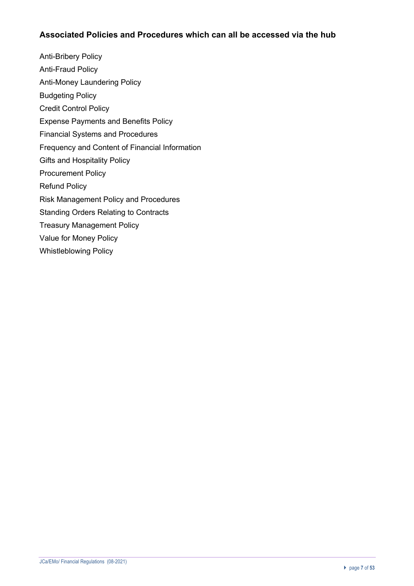# **Associated Policies and Procedures which can all be accessed via the hub**

Anti-Bribery Policy Anti-Fraud Policy Anti-Money Laundering Policy Budgeting Policy Credit Control Policy Expense Payments and Benefits Policy Financial Systems and Procedures Frequency and Content of Financial Information Gifts and Hospitality Policy Procurement Policy Refund Policy Risk Management Policy and Procedures Standing Orders Relating to Contracts Treasury Management Policy Value for Money Policy Whistleblowing Policy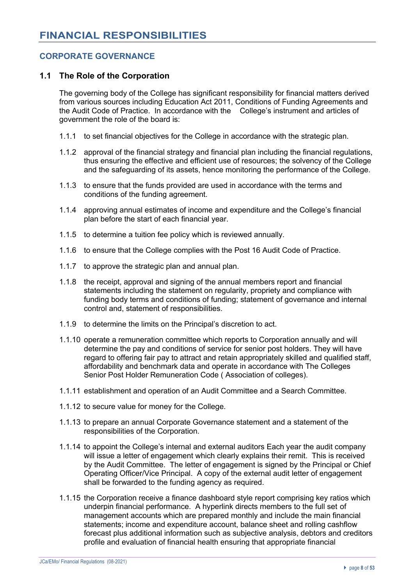# **CORPORATE GOVERNANCE**

#### **1.1 The Role of the Corporation**

The governing body of the College has significant responsibility for financial matters derived from various sources including Education Act 2011, Conditions of Funding Agreements and the Audit Code of Practice. In accordance with the College's instrument and articles of government the role of the board is:

- 1.1.1 to set financial objectives for the College in accordance with the strategic plan.
- 1.1.2 approval of the financial strategy and financial plan including the financial regulations, thus ensuring the effective and efficient use of resources; the solvency of the College and the safeguarding of its assets, hence monitoring the performance of the College.
- 1.1.3 to ensure that the funds provided are used in accordance with the terms and conditions of the funding agreement.
- 1.1.4 approving annual estimates of income and expenditure and the College's financial plan before the start of each financial year.
- 1.1.5 to determine a tuition fee policy which is reviewed annually.
- 1.1.6 to ensure that the College complies with the Post 16 Audit Code of Practice.
- 1.1.7 to approve the strategic plan and annual plan.
- 1.1.8 the receipt, approval and signing of the annual members report and financial statements including the statement on regularity, propriety and compliance with funding body terms and conditions of funding; statement of governance and internal control and, statement of responsibilities.
- 1.1.9 to determine the limits on the Principal's discretion to act.
- 1.1.10 operate a remuneration committee which reports to Corporation annually and will determine the pay and conditions of service for senior post holders. They will have regard to offering fair pay to attract and retain appropriately skilled and qualified staff, affordability and benchmark data and operate in accordance with The Colleges Senior Post Holder Remuneration Code ( Association of colleges).
- 1.1.11 establishment and operation of an Audit Committee and a Search Committee.
- 1.1.12 to secure value for money for the College.
- 1.1.13 to prepare an annual Corporate Governance statement and a statement of the responsibilities of the Corporation.
- 1.1.14 to appoint the College's internal and external auditors Each year the audit company will issue a letter of engagement which clearly explains their remit. This is received by the Audit Committee. The letter of engagement is signed by the Principal or Chief Operating Officer/Vice Principal. A copy of the external audit letter of engagement shall be forwarded to the funding agency as required.
- 1.1.15 the Corporation receive a finance dashboard style report comprising key ratios which underpin financial performance. A hyperlink directs members to the full set of management accounts which are prepared monthly and include the main financial statements; income and expenditure account, balance sheet and rolling cashflow forecast plus additional information such as subjective analysis, debtors and creditors profile and evaluation of financial health ensuring that appropriate financial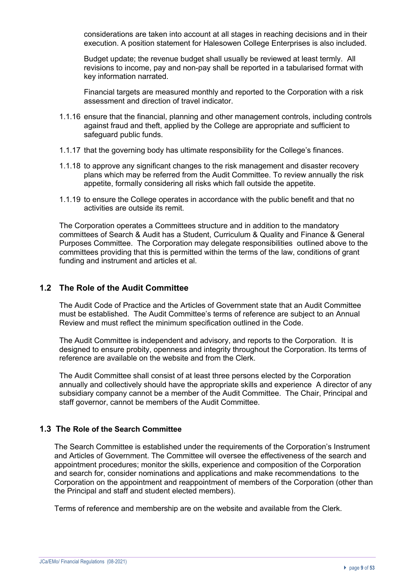considerations are taken into account at all stages in reaching decisions and in their execution. A position statement for Halesowen College Enterprises is also included.

Budget update; the revenue budget shall usually be reviewed at least termly. All revisions to income, pay and non-pay shall be reported in a tabularised format with key information narrated.

Financial targets are measured monthly and reported to the Corporation with a risk assessment and direction of travel indicator.

- 1.1.16 ensure that the financial, planning and other management controls, including controls against fraud and theft, applied by the College are appropriate and sufficient to safeguard public funds.
- 1.1.17 that the governing body has ultimate responsibility for the College's finances.
- 1.1.18 to approve any significant changes to the risk management and disaster recovery plans which may be referred from the Audit Committee. To review annually the risk appetite, formally considering all risks which fall outside the appetite.
- 1.1.19 to ensure the College operates in accordance with the public benefit and that no activities are outside its remit.

The Corporation operates a Committees structure and in addition to the mandatory committees of Search & Audit has a Student, Curriculum & Quality and Finance & General Purposes Committee. The Corporation may delegate responsibilities outlined above to the committees providing that this is permitted within the terms of the law, conditions of grant funding and instrument and articles et al.

#### **1.2 The Role of the Audit Committee**

The Audit Code of Practice and the Articles of Government state that an Audit Committee must be established. The Audit Committee's terms of reference are subject to an Annual Review and must reflect the minimum specification outlined in the Code.

The Audit Committee is independent and advisory, and reports to the Corporation. It is designed to ensure probity, openness and integrity throughout the Corporation. Its terms of reference are available on the website and from the Clerk.

The Audit Committee shall consist of at least three persons elected by the Corporation annually and collectively should have the appropriate skills and experience A director of any subsidiary company cannot be a member of the Audit Committee. The Chair, Principal and staff governor, cannot be members of the Audit Committee.

#### **1.3 The Role of the Search Committee**

The Search Committee is established under the requirements of the Corporation's Instrument and Articles of Government. The Committee will oversee the effectiveness of the search and appointment procedures; monitor the skills, experience and composition of the Corporation and search for, consider nominations and applications and make recommendations to the Corporation on the appointment and reappointment of members of the Corporation (other than the Principal and staff and student elected members).

Terms of reference and membership are on the website and available from the Clerk.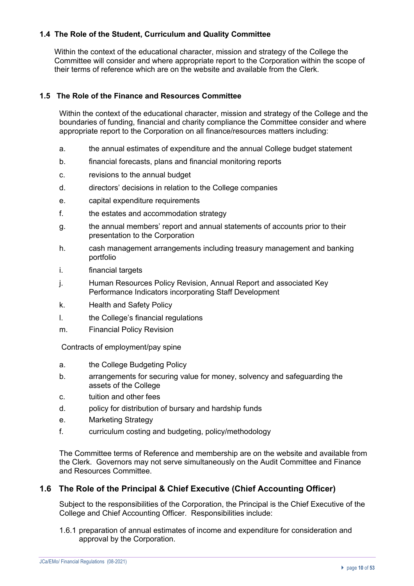#### **1.4 The Role of the Student, Curriculum and Quality Committee**

Within the context of the educational character, mission and strategy of the College the Committee will consider and where appropriate report to the Corporation within the scope of their terms of reference which are on the website and available from the Clerk.

#### **1.5 The Role of the Finance and Resources Committee**

Within the context of the educational character, mission and strategy of the College and the boundaries of funding, financial and charity compliance the Committee consider and where appropriate report to the Corporation on all finance/resources matters including:

- a. the annual estimates of expenditure and the annual College budget statement
- b. financial forecasts, plans and financial monitoring reports
- c. revisions to the annual budget
- d. directors' decisions in relation to the College companies
- e. capital expenditure requirements
- f. the estates and accommodation strategy
- g. the annual members' report and annual statements of accounts prior to their presentation to the Corporation
- h. cash management arrangements including treasury management and banking portfolio
- i. financial targets
- j. Human Resources Policy Revision, Annual Report and associated Key Performance Indicators incorporating Staff Development
- k. Health and Safety Policy
- l. the College's financial regulations
- m. Financial Policy Revision

Contracts of employment/pay spine

- a. the College Budgeting Policy
- b. arrangements for securing value for money, solvency and safeguarding the assets of the College
- c. tuition and other fees
- d. policy for distribution of bursary and hardship funds
- e. Marketing Strategy
- f. curriculum costing and budgeting, policy/methodology

The Committee terms of Reference and membership are on the website and available from the Clerk. Governors may not serve simultaneously on the Audit Committee and Finance and Resources Committee.

#### **1.6 The Role of the Principal & Chief Executive (Chief Accounting Officer)**

Subject to the responsibilities of the Corporation, the Principal is the Chief Executive of the College and Chief Accounting Officer. Responsibilities include:

1.6.1 preparation of annual estimates of income and expenditure for consideration and approval by the Corporation.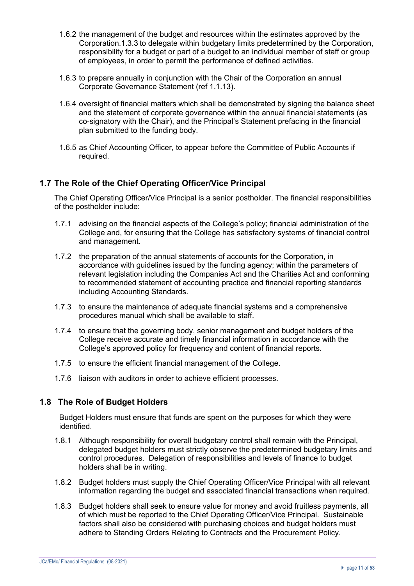- 1.6.2 the management of the budget and resources within the estimates approved by the Corporation.1.3.3 to delegate within budgetary limits predetermined by the Corporation, responsibility for a budget or part of a budget to an individual member of staff or group of employees, in order to permit the performance of defined activities.
- 1.6.3 to prepare annually in conjunction with the Chair of the Corporation an annual Corporate Governance Statement (ref 1.1.13).
- 1.6.4 oversight of financial matters which shall be demonstrated by signing the balance sheet and the statement of corporate governance within the annual financial statements (as co-signatory with the Chair), and the Principal's Statement prefacing in the financial plan submitted to the funding body.
- 1.6.5 as Chief Accounting Officer, to appear before the Committee of Public Accounts if required.

#### **1.7 The Role of the Chief Operating Officer/Vice Principal**

The Chief Operating Officer/Vice Principal is a senior postholder. The financial responsibilities of the postholder include:

- 1.7.1 advising on the financial aspects of the College's policy; financial administration of the College and, for ensuring that the College has satisfactory systems of financial control and management.
- 1.7.2 the preparation of the annual statements of accounts for the Corporation, in accordance with guidelines issued by the funding agency; within the parameters of relevant legislation including the Companies Act and the Charities Act and conforming to recommended statement of accounting practice and financial reporting standards including Accounting Standards.
- 1.7.3 to ensure the maintenance of adequate financial systems and a comprehensive procedures manual which shall be available to staff.
- 1.7.4 to ensure that the governing body, senior management and budget holders of the College receive accurate and timely financial information in accordance with the College's approved policy for frequency and content of financial reports.
- 1.7.5 to ensure the efficient financial management of the College.
- 1.7.6 liaison with auditors in order to achieve efficient processes.

## **1.8 The Role of Budget Holders**

Budget Holders must ensure that funds are spent on the purposes for which they were identified.

- 1.8.1 Although responsibility for overall budgetary control shall remain with the Principal, delegated budget holders must strictly observe the predetermined budgetary limits and control procedures. Delegation of responsibilities and levels of finance to budget holders shall be in writing.
- 1.8.2 Budget holders must supply the Chief Operating Officer/Vice Principal with all relevant information regarding the budget and associated financial transactions when required.
- 1.8.3 Budget holders shall seek to ensure value for money and avoid fruitless payments, all of which must be reported to the Chief Operating Officer/Vice Principal. Sustainable factors shall also be considered with purchasing choices and budget holders must adhere to Standing Orders Relating to Contracts and the Procurement Policy.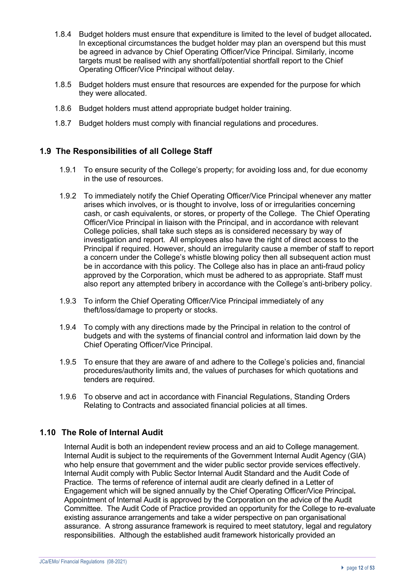- 1.8.4 Budget holders must ensure that expenditure is limited to the level of budget allocated**.**  In exceptional circumstances the budget holder may plan an overspend but this must be agreed in advance by Chief Operating Officer/Vice Principal. Similarly, income targets must be realised with any shortfall/potential shortfall report to the Chief Operating Officer/Vice Principal without delay.
- 1.8.5 Budget holders must ensure that resources are expended for the purpose for which they were allocated.
- 1.8.6 Budget holders must attend appropriate budget holder training.
- 1.8.7 Budget holders must comply with financial regulations and procedures.

# **1.9 The Responsibilities of all College Staff**

- 1.9.1 To ensure security of the College's property; for avoiding loss and, for due economy in the use of resources.
- 1.9.2 To immediately notify the Chief Operating Officer/Vice Principal whenever any matter arises which involves, or is thought to involve, loss of or irregularities concerning cash, or cash equivalents, or stores, or property of the College. The Chief Operating Officer/Vice Principal in liaison with the Principal, and in accordance with relevant College policies, shall take such steps as is considered necessary by way of investigation and report. All employees also have the right of direct access to the Principal if required. However, should an irregularity cause a member of staff to report a concern under the College's whistle blowing policy then all subsequent action must be in accordance with this policy. The College also has in place an anti-fraud policy approved by the Corporation, which must be adhered to as appropriate. Staff must also report any attempted bribery in accordance with the College's anti-bribery policy.
- 1.9.3 To inform the Chief Operating Officer/Vice Principal immediately of any theft/loss/damage to property or stocks.
- 1.9.4 To comply with any directions made by the Principal in relation to the control of budgets and with the systems of financial control and information laid down by the Chief Operating Officer/Vice Principal.
- 1.9.5 To ensure that they are aware of and adhere to the College's policies and, financial procedures/authority limits and, the values of purchases for which quotations and tenders are required.
- 1.9.6 To observe and act in accordance with Financial Regulations, Standing Orders Relating to Contracts and associated financial policies at all times.

## **1.10 The Role of Internal Audit**

Internal Audit is both an independent review process and an aid to College management. Internal Audit is subject to the requirements of the Government Internal Audit Agency (GIA) who help ensure that government and the wider public sector provide services effectively. Internal Audit comply with Public Sector Internal Audit Standard and the Audit Code of Practice. The terms of reference of internal audit are clearly defined in a Letter of Engagement which will be signed annually by the Chief Operating Officer/Vice Principal**.** Appointment of Internal Audit is approved by the Corporation on the advice of the Audit Committee. The Audit Code of Practice provided an opportunity for the College to re-evaluate existing assurance arrangements and take a wider perspective on pan organisational assurance. A strong assurance framework is required to meet statutory, legal and regulatory responsibilities. Although the established audit framework historically provided an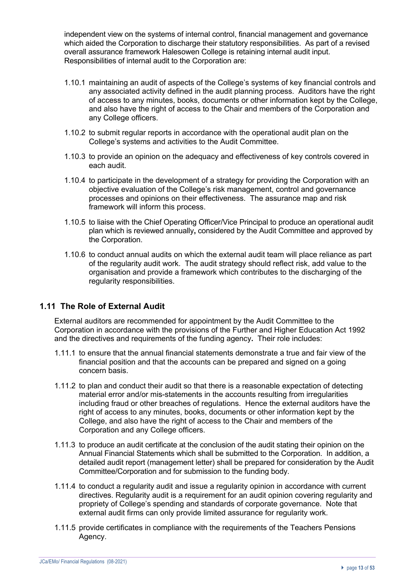independent view on the systems of internal control, financial management and governance which aided the Corporation to discharge their statutory responsibilities. As part of a revised overall assurance framework Halesowen College is retaining internal audit input. Responsibilities of internal audit to the Corporation are:

- 1.10.1 maintaining an audit of aspects of the College's systems of key financial controls and any associated activity defined in the audit planning process. Auditors have the right of access to any minutes, books, documents or other information kept by the College, and also have the right of access to the Chair and members of the Corporation and any College officers.
- 1.10.2 to submit regular reports in accordance with the operational audit plan on the College's systems and activities to the Audit Committee.
- 1.10.3 to provide an opinion on the adequacy and effectiveness of key controls covered in each audit.
- 1.10.4 to participate in the development of a strategy for providing the Corporation with an objective evaluation of the College's risk management, control and governance processes and opinions on their effectiveness. The assurance map and risk framework will inform this process.
- 1.10.5 to liaise with the Chief Operating Officer/Vice Principal to produce an operational audit plan which is reviewed annually**,** considered by the Audit Committee and approved by the Corporation.
- 1.10.6 to conduct annual audits on which the external audit team will place reliance as part of the regularity audit work. The audit strategy should reflect risk, add value to the organisation and provide a framework which contributes to the discharging of the regularity responsibilities.

## **1.11 The Role of External Audit**

External auditors are recommended for appointment by the Audit Committee to the Corporation in accordance with the provisions of the Further and Higher Education Act 1992 and the directives and requirements of the funding agency**.** Their role includes:

- 1.11.1 to ensure that the annual financial statements demonstrate a true and fair view of the financial position and that the accounts can be prepared and signed on a going concern basis.
- 1.11.2 to plan and conduct their audit so that there is a reasonable expectation of detecting material error and/or mis-statements in the accounts resulting from irregularities including fraud or other breaches of regulations. Hence the external auditors have the right of access to any minutes, books, documents or other information kept by the College, and also have the right of access to the Chair and members of the Corporation and any College officers.
- 1.11.3 to produce an audit certificate at the conclusion of the audit stating their opinion on the Annual Financial Statements which shall be submitted to the Corporation. In addition, a detailed audit report (management letter) shall be prepared for consideration by the Audit Committee/Corporation and for submission to the funding body.
- 1.11.4 to conduct a regularity audit and issue a regularity opinion in accordance with current directives. Regularity audit is a requirement for an audit opinion covering regularity and propriety of College's spending and standards of corporate governance. Note that external audit firms can only provide limited assurance for regularity work.
- 1.11.5 provide certificates in compliance with the requirements of the Teachers Pensions Agency.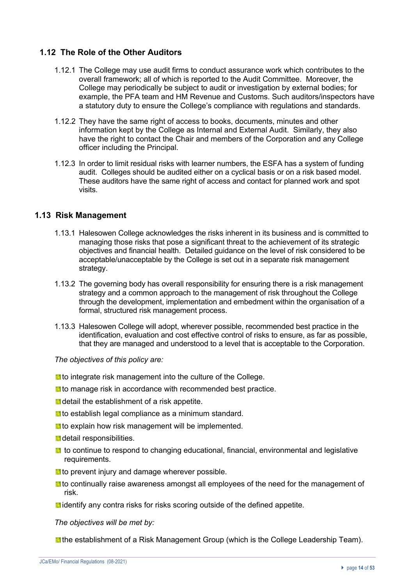## **1.12 The Role of the Other Auditors**

- 1.12.1 The College may use audit firms to conduct assurance work which contributes to the overall framework; all of which is reported to the Audit Committee. Moreover, the College may periodically be subject to audit or investigation by external bodies; for example, the PFA team and HM Revenue and Customs. Such auditors/inspectors have a statutory duty to ensure the College's compliance with regulations and standards.
- 1.12.2 They have the same right of access to books, documents, minutes and other information kept by the College as Internal and External Audit. Similarly, they also have the right to contact the Chair and members of the Corporation and any College officer including the Principal.
- 1.12.3 In order to limit residual risks with learner numbers, the ESFA has a system of funding audit. Colleges should be audited either on a cyclical basis or on a risk based model. These auditors have the same right of access and contact for planned work and spot visits.

#### **1.13 Risk Management**

- 1.13.1 Halesowen College acknowledges the risks inherent in its business and is committed to managing those risks that pose a significant threat to the achievement of its strategic objectives and financial health. Detailed guidance on the level of risk considered to be acceptable/unacceptable by the College is set out in a separate risk management strategy.
- 1.13.2 The governing body has overall responsibility for ensuring there is a risk management strategy and a common approach to the management of risk throughout the College through the development, implementation and embedment within the organisation of a formal, structured risk management process.
- 1.13.3 Halesowen College will adopt, wherever possible, recommended best practice in the identification, evaluation and cost effective control of risks to ensure, as far as possible, that they are managed and understood to a level that is acceptable to the Corporation.

*The objectives of this policy are:*

- **t** to integrate risk management into the culture of the College.
- **t** to manage risk in accordance with recommended best practice.
- **D** detail the establishment of a risk appetite.
- **L** to establish legal compliance as a minimum standard.
- **t** to explain how risk management will be implemented.
- **d** detail responsibilities.
- **t** to continue to respond to changing educational, financial, environmental and legislative requirements.
- **No prevent injury and damage wherever possible.**
- **I** to continually raise awareness amongst all employees of the need for the management of risk.
- **I** identify any contra risks for risks scoring outside of the defined appetite.

*The objectives will be met by:*

**I** the establishment of a Risk Management Group (which is the College Leadership Team).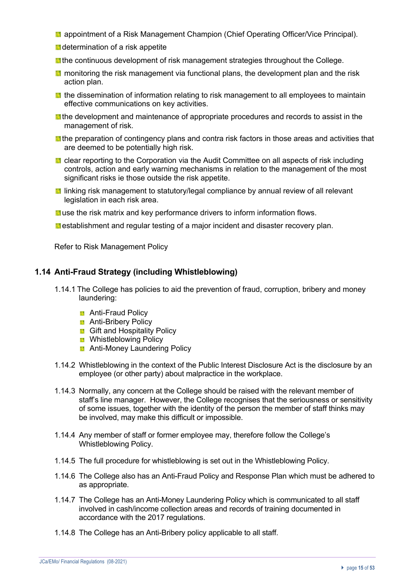- **a** appointment of a Risk Management Champion (Chief Operating Officer/Vice Principal).
- **d** determination of a risk appetite
- **If** the continuous development of risk management strategies throughout the College.
- **If** monitoring the risk management via functional plans, the development plan and the risk action plan.
- **the dissemination of information relating to risk management to all employees to maintain** effective communications on key activities.
- **I** the development and maintenance of appropriate procedures and records to assist in the management of risk.
- **I** the preparation of contingency plans and contra risk factors in those areas and activities that are deemed to be potentially high risk.
- **E** clear reporting to the Corporation via the Audit Committee on all aspects of risk including controls, action and early warning mechanisms in relation to the management of the most significant risks ie those outside the risk appetite.
- **I** linking risk management to statutory/legal compliance by annual review of all relevant legislation in each risk area.
- **L** use the risk matrix and key performance drivers to inform information flows.
- **E** establishment and regular testing of a major incident and disaster recovery plan.

Refer to Risk Management Policy

#### **1.14 Anti-Fraud Strategy (including Whistleblowing)**

- 1.14.1 The College has policies to aid the prevention of fraud, corruption, bribery and money laundering:
	- **Anti-Fraud Policy**
	- **Anti-Bribery Policy**
	- **Gift and Hospitality Policy**
	- **B** Whistleblowing Policy
	- **Anti-Money Laundering Policy**
- 1.14.2 Whistleblowing in the context of the Public Interest Disclosure Act is the disclosure by an employee (or other party) about malpractice in the workplace.
- 1.14.3 Normally, any concern at the College should be raised with the relevant member of staff's line manager. However, the College recognises that the seriousness or sensitivity of some issues, together with the identity of the person the member of staff thinks may be involved, may make this difficult or impossible.
- 1.14.4 Any member of staff or former employee may, therefore follow the College's Whistleblowing Policy.
- 1.14.5 The full procedure for whistleblowing is set out in the Whistleblowing Policy.
- 1.14.6 The College also has an Anti-Fraud Policy and Response Plan which must be adhered to as appropriate.
- 1.14.7 The College has an Anti-Money Laundering Policy which is communicated to all staff involved in cash/income collection areas and records of training documented in accordance with the 2017 regulations.
- 1.14.8 The College has an Anti-Bribery policy applicable to all staff.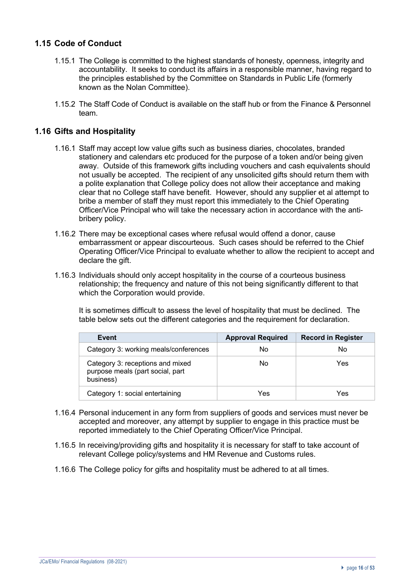# **1.15 Code of Conduct**

- 1.15.1 The College is committed to the highest standards of honesty, openness, integrity and accountability. It seeks to conduct its affairs in a responsible manner, having regard to the principles established by the Committee on Standards in Public Life (formerly known as the Nolan Committee).
- 1.15.2 The Staff Code of Conduct is available on the staff hub or from the Finance & Personnel team.

#### **1.16 Gifts and Hospitality**

- 1.16.1 Staff may accept low value gifts such as business diaries, chocolates, branded stationery and calendars etc produced for the purpose of a token and/or being given away. Outside of this framework gifts including vouchers and cash equivalents should not usually be accepted. The recipient of any unsolicited gifts should return them with a polite explanation that College policy does not allow their acceptance and making clear that no College staff have benefit. However, should any supplier et al attempt to bribe a member of staff they must report this immediately to the Chief Operating Officer/Vice Principal who will take the necessary action in accordance with the antibribery policy.
- 1.16.2 There may be exceptional cases where refusal would offend a donor, cause embarrassment or appear discourteous. Such cases should be referred to the Chief Operating Officer/Vice Principal to evaluate whether to allow the recipient to accept and declare the gift.
- 1.16.3 Individuals should only accept hospitality in the course of a courteous business relationship; the frequency and nature of this not being significantly different to that which the Corporation would provide.

It is sometimes difficult to assess the level of hospitality that must be declined.The table below sets out the different categories and the requirement for declaration.

| Event                                                                             | <b>Approval Required</b> | <b>Record in Register</b> |
|-----------------------------------------------------------------------------------|--------------------------|---------------------------|
| Category 3: working meals/conferences                                             | No                       | No                        |
| Category 3: receptions and mixed<br>purpose meals (part social, part<br>business) | No                       | Yes                       |
| Category 1: social entertaining                                                   | Yes                      | Yes                       |

- 1.16.4 Personal inducement in any form from suppliers of goods and services must never be accepted and moreover, any attempt by supplier to engage in this practice must be reported immediately to the Chief Operating Officer/Vice Principal.
- 1.16.5 In receiving/providing gifts and hospitality it is necessary for staff to take account of relevant College policy/systems and HM Revenue and Customs rules.
- 1.16.6 The College policy for gifts and hospitality must be adhered to at all times.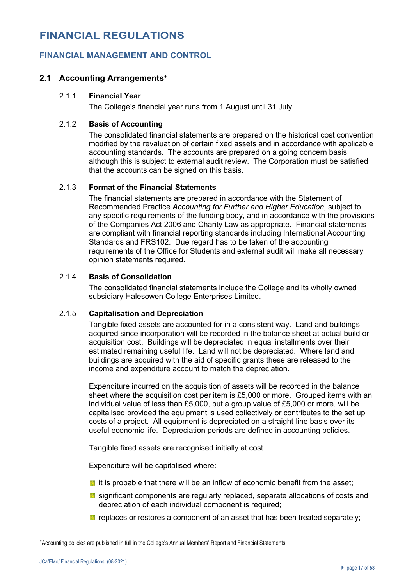# **FINANCIAL MANAGEMENT AND CONTROL**

## **2.1 Accounting Arrangements**\*

#### 2.1.1 **Financial Year**

The College's financial year runs from 1 August until 31 July.

#### 2.1.2 **Basis of Accounting**

The consolidated financial statements are prepared on the historical cost convention modified by the revaluation of certain fixed assets and in accordance with applicable accounting standards. The accounts are prepared on a going concern basis although this is subject to external audit review. The Corporation must be satisfied that the accounts can be signed on this basis.

#### 2.1.3 **Format of the Financial Statements**

The financial statements are prepared in accordance with the Statement of Recommended Practice *Accounting for Further and Higher Education*, subject to any specific requirements of the funding body, and in accordance with the provisions of the Companies Act 2006 and Charity Law as appropriate. Financial statements are compliant with financial reporting standards including International Accounting Standards and FRS102. Due regard has to be taken of the accounting requirements of the Office for Students and external audit will make all necessary opinion statements required.

#### 2.1.4 **Basis of Consolidation**

The consolidated financial statements include the College and its wholly owned subsidiary Halesowen College Enterprises Limited.

#### 2.1.5 **Capitalisation and Depreciation**

Tangible fixed assets are accounted for in a consistent way. Land and buildings acquired since incorporation will be recorded in the balance sheet at actual build or acquisition cost. Buildings will be depreciated in equal installments over their estimated remaining useful life. Land will not be depreciated. Where land and buildings are acquired with the aid of specific grants these are released to the income and expenditure account to match the depreciation.

Expenditure incurred on the acquisition of assets will be recorded in the balance sheet where the acquisition cost per item is £5,000 or more. Grouped items with an individual value of less than £5,000, but a group value of £5,000 or more, will be capitalised provided the equipment is used collectively or contributes to the set up costs of a project. All equipment is depreciated on a straight-line basis over its useful economic life. Depreciation periods are defined in accounting policies.

Tangible fixed assets are recognised initially at cost.

Expenditure will be capitalised where:

- $\blacksquare$  it is probable that there will be an inflow of economic benefit from the asset;
- $\blacksquare$  significant components are regularly replaced, separate allocations of costs and depreciation of each individual component is required;
- $\blacksquare$  replaces or restores a component of an asset that has been treated separately;

<sup>\*</sup> Accounting policies are published in full in the College's Annual Members' Report and Financial Statements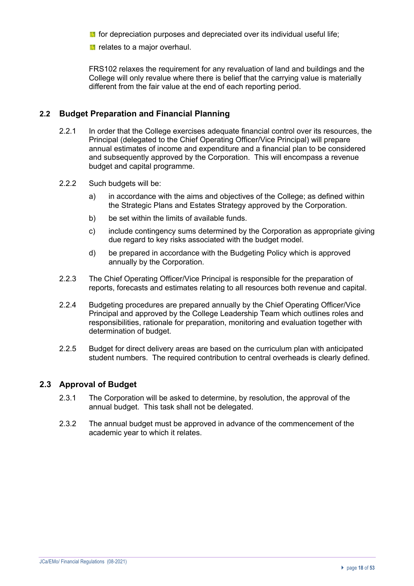- **For depreciation purposes and depreciated over its individual useful life;**
- **P** relates to a major overhaul.

FRS102 relaxes the requirement for any revaluation of land and buildings and the College will only revalue where there is belief that the carrying value is materially different from the fair value at the end of each reporting period.

#### **2.2 Budget Preparation and Financial Planning**

- 2.2.1 In order that the College exercises adequate financial control over its resources, the Principal (delegated to the Chief Operating Officer/Vice Principal) will prepare annual estimates of income and expenditure and a financial plan to be considered and subsequently approved by the Corporation. This will encompass a revenue budget and capital programme.
- 2.2.2 Such budgets will be:
	- a) in accordance with the aims and objectives of the College; as defined within the Strategic Plans and Estates Strategy approved by the Corporation.
	- b) be set within the limits of available funds.
	- c) include contingency sums determined by the Corporation as appropriate giving due regard to key risks associated with the budget model.
	- d) be prepared in accordance with the Budgeting Policy which is approved annually by the Corporation.
- 2.2.3 The Chief Operating Officer/Vice Principal is responsible for the preparation of reports, forecasts and estimates relating to all resources both revenue and capital.
- 2.2.4 Budgeting procedures are prepared annually by the Chief Operating Officer/Vice Principal and approved by the College Leadership Team which outlines roles and responsibilities, rationale for preparation, monitoring and evaluation together with determination of budget.
- 2.2.5 Budget for direct delivery areas are based on the curriculum plan with anticipated student numbers. The required contribution to central overheads is clearly defined.

## **2.3 Approval of Budget**

- 2.3.1 The Corporation will be asked to determine, by resolution, the approval of the annual budget. This task shall not be delegated.
- 2.3.2 The annual budget must be approved in advance of the commencement of the academic year to which it relates.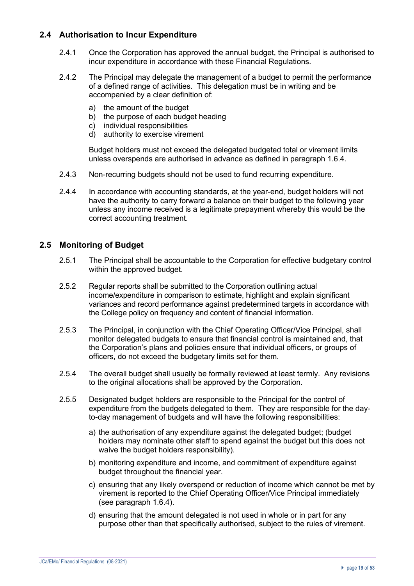# **2.4 Authorisation to Incur Expenditure**

- 2.4.1 Once the Corporation has approved the annual budget, the Principal is authorised to incur expenditure in accordance with these Financial Regulations.
- 2.4.2 The Principal may delegate the management of a budget to permit the performance of a defined range of activities. This delegation must be in writing and be accompanied by a clear definition of:
	- a) the amount of the budget
	- b) the purpose of each budget heading
	- c) individual responsibilities
	- d) authority to exercise virement

Budget holders must not exceed the delegated budgeted total or virement limits unless overspends are authorised in advance as defined in paragraph 1.6.4.

- 2.4.3 Non-recurring budgets should not be used to fund recurring expenditure.
- 2.4.4 In accordance with accounting standards, at the year-end, budget holders will not have the authority to carry forward a balance on their budget to the following year unless any income received is a legitimate prepayment whereby this would be the correct accounting treatment.

#### **2.5 Monitoring of Budget**

- 2.5.1 The Principal shall be accountable to the Corporation for effective budgetary control within the approved budget.
- 2.5.2 Regular reports shall be submitted to the Corporation outlining actual income/expenditure in comparison to estimate, highlight and explain significant variances and record performance against predetermined targets in accordance with the College policy on frequency and content of financial information.
- 2.5.3 The Principal, in conjunction with the Chief Operating Officer/Vice Principal, shall monitor delegated budgets to ensure that financial control is maintained and, that the Corporation's plans and policies ensure that individual officers, or groups of officers, do not exceed the budgetary limits set for them.
- 2.5.4 The overall budget shall usually be formally reviewed at least termly. Any revisions to the original allocations shall be approved by the Corporation.
- 2.5.5 Designated budget holders are responsible to the Principal for the control of expenditure from the budgets delegated to them. They are responsible for the dayto-day management of budgets and will have the following responsibilities:
	- a) the authorisation of any expenditure against the delegated budget; (budget holders may nominate other staff to spend against the budget but this does not waive the budget holders responsibility).
	- b) monitoring expenditure and income, and commitment of expenditure against budget throughout the financial year.
	- c) ensuring that any likely overspend or reduction of income which cannot be met by virement is reported to the Chief Operating Officer/Vice Principal immediately (see paragraph 1.6.4).
	- d) ensuring that the amount delegated is not used in whole or in part for any purpose other than that specifically authorised, subject to the rules of virement.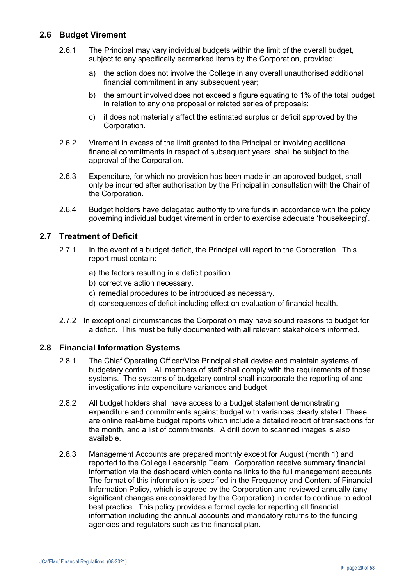# **2.6 Budget Virement**

- 2.6.1 The Principal may vary individual budgets within the limit of the overall budget, subject to any specifically earmarked items by the Corporation, provided:
	- a) the action does not involve the College in any overall unauthorised additional financial commitment in any subsequent year:
	- b) the amount involved does not exceed a figure equating to 1% of the total budget in relation to any one proposal or related series of proposals;
	- c) it does not materially affect the estimated surplus or deficit approved by the Corporation.
- 2.6.2 Virement in excess of the limit granted to the Principal or involving additional financial commitments in respect of subsequent years, shall be subject to the approval of the Corporation.
- 2.6.3 Expenditure, for which no provision has been made in an approved budget, shall only be incurred after authorisation by the Principal in consultation with the Chair of the Corporation.
- 2.6.4 Budget holders have delegated authority to vire funds in accordance with the policy governing individual budget virement in order to exercise adequate 'housekeeping'.

## **2.7 Treatment of Deficit**

- 2.7.1 In the event of a budget deficit, the Principal will report to the Corporation. This report must contain:
	- a) the factors resulting in a deficit position.
	- b) corrective action necessary.
	- c) remedial procedures to be introduced as necessary.
	- d) consequences of deficit including effect on evaluation of financial health.
- 2.7.2 In exceptional circumstances the Corporation may have sound reasons to budget for a deficit. This must be fully documented with all relevant stakeholders informed.

## **2.8 Financial Information Systems**

- 2.8.1 The Chief Operating Officer/Vice Principal shall devise and maintain systems of budgetary control. All members of staff shall comply with the requirements of those systems. The systems of budgetary control shall incorporate the reporting of and investigations into expenditure variances and budget.
- 2.8.2 All budget holders shall have access to a budget statement demonstrating expenditure and commitments against budget with variances clearly stated. These are online real-time budget reports which include a detailed report of transactions for the month, and a list of commitments. A drill down to scanned images is also available.
- 2.8.3 Management Accounts are prepared monthly except for August (month 1) and reported to the College Leadership Team. Corporation receive summary financial information via the dashboard which contains links to the full management accounts. The format of this information is specified in the Frequency and Content of Financial Information Policy, which is agreed by the Corporation and reviewed annually (any significant changes are considered by the Corporation) in order to continue to adopt best practice. This policy provides a formal cycle for reporting all financial information including the annual accounts and mandatory returns to the funding agencies and regulators such as the financial plan.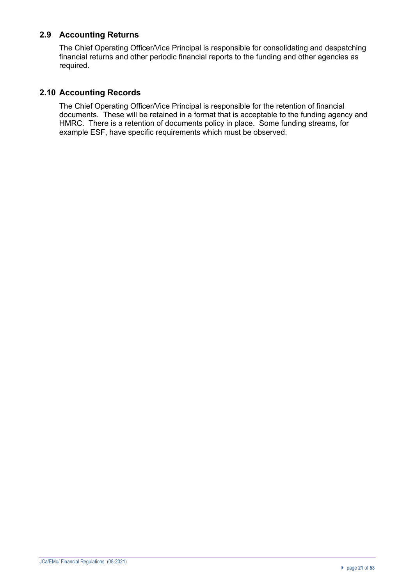# **2.9 Accounting Returns**

The Chief Operating Officer/Vice Principal is responsible for consolidating and despatching financial returns and other periodic financial reports to the funding and other agencies as required.

# **2.10 Accounting Records**

The Chief Operating Officer/Vice Principal is responsible for the retention of financial documents. These will be retained in a format that is acceptable to the funding agency and HMRC. There is a retention of documents policy in place. Some funding streams, for example ESF, have specific requirements which must be observed.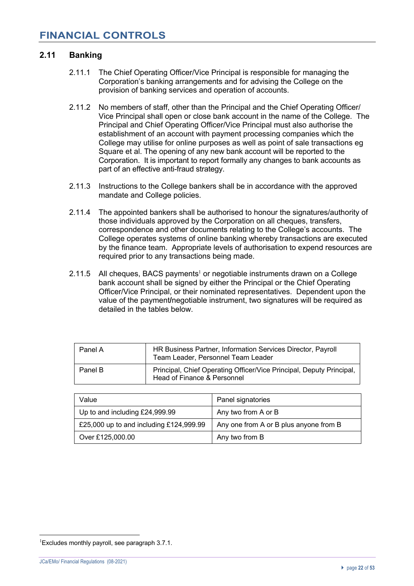#### **2.11 Banking**

- 2.11.1 The Chief Operating Officer/Vice Principal is responsible for managing the Corporation's banking arrangements and for advising the College on the provision of banking services and operation of accounts.
- 2.11.2 No members of staff, other than the Principal and the Chief Operating Officer/ Vice Principal shall open or close bank account in the name of the College. The Principal and Chief Operating Officer/Vice Principal must also authorise the establishment of an account with payment processing companies which the College may utilise for online purposes as well as point of sale transactions eg Square et al. The opening of any new bank account will be reported to the Corporation. It is important to report formally any changes to bank accounts as part of an effective anti-fraud strategy.
- 2.11.3 Instructions to the College bankers shall be in accordance with the approved mandate and College policies.
- 2.11.4 The appointed bankers shall be authorised to honour the signatures/authority of those individuals approved by the Corporation on all cheques, transfers, correspondence and other documents relating to the College's accounts. The College operates systems of online banking whereby transactions are executed by the finance team. Appropriate levels of authorisation to expend resources are required prior to any transactions being made.
- 2.11.5 All cheques, BACS payments<sup>1</sup> or negotiable instruments drawn on a College bank account shall be signed by either the Principal or the Chief Operating Officer/Vice Principal, or their nominated representatives. Dependent upon the value of the payment**/**negotiable instrument, two signatures will be required as detailed in the tables below.

| Panel A | HR Business Partner, Information Services Director, Payroll<br>Team Leader, Personnel Team Leader   |
|---------|-----------------------------------------------------------------------------------------------------|
| Panel B | Principal, Chief Operating Officer/Vice Principal, Deputy Principal,<br>Head of Finance & Personnel |

| Value                                   | Panel signatories                      |
|-----------------------------------------|----------------------------------------|
| Up to and including £24,999.99          | Any two from A or B                    |
| £25,000 up to and including £124,999.99 | Any one from A or B plus anyone from B |
| Over £125,000.00                        | Any two from B                         |

<sup>1</sup> Excludes monthly payroll, see paragraph 3.7.1.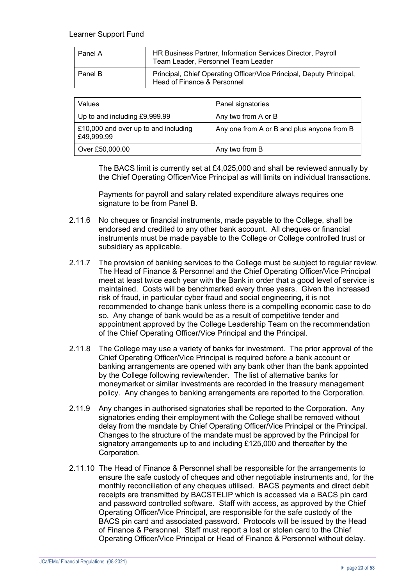#### Learner Support Fund

| Panel A | HR Business Partner, Information Services Director, Payroll<br>Team Leader, Personnel Team Leader   |
|---------|-----------------------------------------------------------------------------------------------------|
| Panel B | Principal, Chief Operating Officer/Vice Principal, Deputy Principal,<br>Head of Finance & Personnel |

| Values                                             | Panel signatories                          |
|----------------------------------------------------|--------------------------------------------|
| Up to and including £9,999.99                      | Any two from A or B                        |
| E10,000 and over up to and including<br>£49,999.99 | Any one from A or B and plus anyone from B |
| Over £50,000.00                                    | Any two from B                             |

The BACS limit is currently set at £4,025,000 and shall be reviewed annually by the Chief Operating Officer/Vice Principal as will limits on individual transactions.

Payments for payroll and salary related expenditure always requires one signature to be from Panel B.

- 2.11.6 No cheques or financial instruments, made payable to the College, shall be endorsed and credited to any other bank account. All cheques or financial instruments must be made payable to the College or College controlled trust or subsidiary as applicable.
- 2.11.7 The provision of banking services to the College must be subject to regular review. The Head of Finance & Personnel and the Chief Operating Officer/Vice Principal meet at least twice each year with the Bank in order that a good level of service is maintained. Costs will be benchmarked every three years. Given the increased risk of fraud, in particular cyber fraud and social engineering, it is not recommended to change bank unless there is a compelling economic case to do so. Any change of bank would be as a result of competitive tender and appointment approved by the College Leadership Team on the recommendation of the Chief Operating Officer/Vice Principal and the Principal.
- 2.11.8 The College may use a variety of banks for investment. The prior approval of the Chief Operating Officer/Vice Principal is required before a bank account or banking arrangements are opened with any bank other than the bank appointed by the College following review/tender. The list of alternative banks for moneymarket or similar investments are recorded in the treasury management policy. Any changes to banking arrangements are reported to the Corporation.
- 2.11.9 Any changes in authorised signatories shall be reported to the Corporation. Any signatories ending their employment with the College shall be removed without delay from the mandate by Chief Operating Officer/Vice Principal or the Principal. Changes to the structure of the mandate must be approved by the Principal for signatory arrangements up to and including £125,000 and thereafter by the Corporation.
- 2.11.10 The Head of Finance & Personnel shall be responsible for the arrangements to ensure the safe custody of cheques and other negotiable instruments and, for the monthly reconciliation of any cheques utilised. BACS payments and direct debit receipts are transmitted by BACSTELIP which is accessed via a BACS pin card and password controlled software. Staff with access, as approved by the Chief Operating Officer/Vice Principal, are responsible for the safe custody of the BACS pin card and associated password. Protocols will be issued by the Head of Finance & Personnel. Staff must report a lost or stolen card to the Chief Operating Officer/Vice Principal or Head of Finance & Personnel without delay.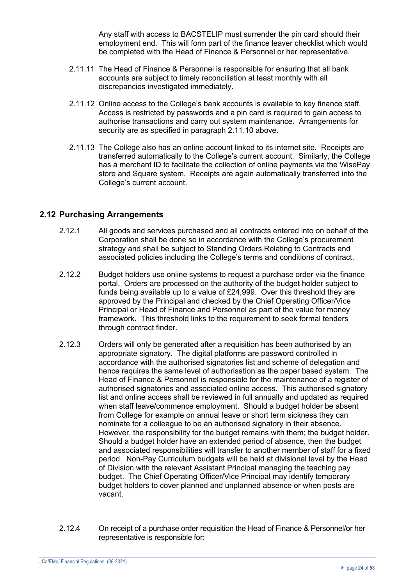Any staff with access to BACSTELIP must surrender the pin card should their employment end. This will form part of the finance leaver checklist which would be completed with the Head of Finance & Personnel or her representative.

- 2.11.11 The Head of Finance & Personnel is responsible for ensuring that all bank accounts are subject to timely reconciliation at least monthly with all discrepancies investigated immediately.
- 2.11.12 Online access to the College's bank accounts is available to key finance staff. Access is restricted by passwords and a pin card is required to gain access to authorise transactions and carry out system maintenance. Arrangements for security are as specified in paragraph 2.11.10 above.
- 2.11.13 The College also has an online account linked to its internet site. Receipts are transferred automatically to the College's current account. Similarly, the College has a merchant ID to facilitate the collection of online payments via the WisePay store and Square system. Receipts are again automatically transferred into the College's current account.

#### **2.12 Purchasing Arrangements**

- 2.12.1 All goods and services purchased and all contracts entered into on behalf of the Corporation shall be done so in accordance with the College's procurement strategy and shall be subject to Standing Orders Relating to Contracts and associated policies including the College's terms and conditions of contract.
- 2.12.2 Budget holders use online systems to request a purchase order via the finance portal. Orders are processed on the authority of the budget holder subject to funds being available up to a value of £24,999. Over this threshold they are approved by the Principal and checked by the Chief Operating Officer/Vice Principal or Head of Finance and Personnel as part of the value for money framework. This threshold links to the requirement to seek formal tenders through contract finder.
- 2.12.3 Orders will only be generated after a requisition has been authorised by an appropriate signatory. The digital platforms are password controlled in accordance with the authorised signatories list and scheme of delegation and hence requires the same level of authorisation as the paper based system. The Head of Finance & Personnel is responsible for the maintenance of a register of authorised signatories and associated online access. This authorised signatory list and online access shall be reviewed in full annually and updated as required when staff leave/commence employment. Should a budget holder be absent from College for example on annual leave or short term sickness they can nominate for a colleague to be an authorised signatory in their absence. However, the responsibility for the budget remains with them; the budget holder. Should a budget holder have an extended period of absence, then the budget and associated responsibilities will transfer to another member of staff for a fixed period. Non-Pay Curriculum budgets will be held at divisional level by the Head of Division with the relevant Assistant Principal managing the teaching pay budget. The Chief Operating Officer/Vice Principal may identify temporary budget holders to cover planned and unplanned absence or when posts are vacant.
- 2.12.4 On receipt of a purchase order requisition the Head of Finance & Personnel/or her representative is responsible for: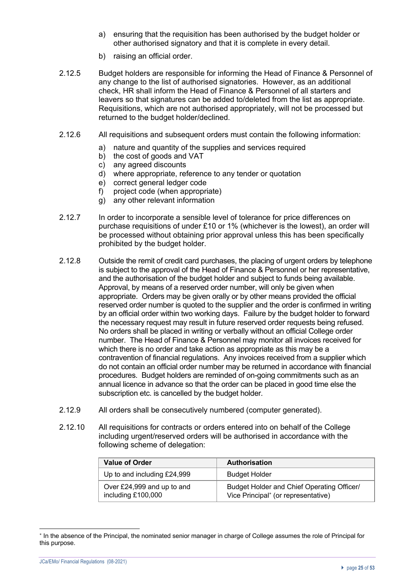- a) ensuring that the requisition has been authorised by the budget holder or other authorised signatory and that it is complete in every detail.
- b) raising an official order.
- 2.12.5 Budget holders are responsible for informing the Head of Finance & Personnel of any change to the list of authorised signatories. However, as an additional check, HR shall inform the Head of Finance & Personnel of all starters and leavers so that signatures can be added to/deleted from the list as appropriate. Requisitions, which are not authorised appropriately, will not be processed but returned to the budget holder/declined.
- 2.12.6 All requisitions and subsequent orders must contain the following information:
	- a) nature and quantity of the supplies and services required
	- b) the cost of goods and VAT
	- c) any agreed discounts
	- d) where appropriate, reference to any tender or quotation
	- e) correct general ledger code
	- f) project code (when appropriate)
	- g) any other relevant information
- 2.12.7 In order to incorporate a sensible level of tolerance for price differences on purchase requisitions of under £10 or 1% (whichever is the lowest), an order will be processed without obtaining prior approval unless this has been specifically prohibited by the budget holder.
- 2.12.8 Outside the remit of credit card purchases, the placing of urgent orders by telephone is subject to the approval of the Head of Finance & Personnel or her representative, and the authorisation of the budget holder and subject to funds being available. Approval, by means of a reserved order number, will only be given when appropriate. Orders may be given orally or by other means provided the official reserved order number is quoted to the supplier and the order is confirmed in writing by an official order within two working days. Failure by the budget holder to forward the necessary request may result in future reserved order requests being refused. No orders shall be placed in writing or verbally without an official College order number. The Head of Finance & Personnel may monitor all invoices received for which there is no order and take action as appropriate as this may be a contravention of financial regulations. Any invoices received from a supplier which do not contain an official order number may be returned in accordance with financial procedures. Budget holders are reminded of on-going commitments such as an annual licence in advance so that the order can be placed in good time else the subscription etc. is cancelled by the budget holder.
- 2.12.9 All orders shall be consecutively numbered (computer generated).
- 2.12.10 All requisitions for contracts or orders entered into on behalf of the College including urgent/reserved orders will be authorised in accordance with the following scheme of delegation:

| <b>Value of Order</b>                            | <b>Authorisation</b>                                                              |
|--------------------------------------------------|-----------------------------------------------------------------------------------|
| Up to and including £24,999                      | <b>Budget Holder</b>                                                              |
| Over £24,999 and up to and<br>including £100,000 | Budget Holder and Chief Operating Officer/<br>Vice Principal* (or representative) |

In the absence of the Principal, the nominated senior manager in charge of College assumes the role of Principal for this purpose.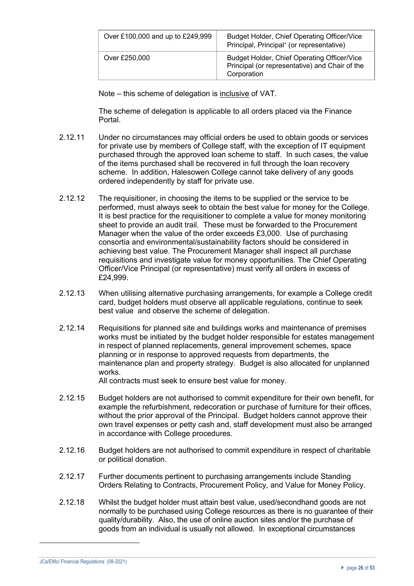| Over £100,000 and up to £249,999 | Budget Holder, Chief Operating Officer/Vice<br>Principal, Principal* (or representative)                     |
|----------------------------------|--------------------------------------------------------------------------------------------------------------|
| Over £250,000                    | Budget Holder, Chief Operating Officer/Vice<br>Principal (or representative) and Chair of the<br>Corporation |

Note – this scheme of delegation is inclusive of VAT.

The scheme of delegation is applicable to all orders placed via the Finance Portal.

- 2.12.11 Under no circumstances may official orders be used to obtain goods or services for private use by members of College staff, with the exception of IT equipment purchased through the approved loan scheme to staff. In such cases, the value of the items purchased shall be recovered in full through the loan recovery scheme. In addition, Halesowen College cannot take delivery of any goods ordered independently by staff for private use.
- 2.12.12 The requisitioner, in choosing the items to be supplied or the service to be performed, must always seek to obtain the best value for money for the College. It is best practice for the requisitioner to complete a value for money monitoring sheet to provide an audit trail. These must be forwarded to the Procurement Manager when the value of the order exceeds £3,000. Use of purchasing consortia and environmental/sustainability factors should be considered in achieving best value. The Procurement Manager shall inspect all purchase requisitions and investigate value for money opportunities. The Chief Operating Officer/Vice Principal (or representative) must verify all orders in excess of £24,999.
- 2.12.13 When utilising alternative purchasing arrangements, for example a College credit card, budget holders must observe all applicable regulations, continue to seek best value and observe the scheme of delegation.
- 2.12.14 Requisitions for planned site and buildings works and maintenance of premises works must be initiated by the budget holder responsible for estates management in respect of planned replacements, general improvement schemes, space planning or in response to approved requests from departments, the maintenance plan and property strategy. Budget is also allocated for unplanned works.

All contracts must seek to ensure best value for money.

- 2.12.15 Budget holders are not authorised to commit expenditure for their own benefit, for example the refurbishment, redecoration or purchase of furniture for their offices, without the prior approval of the Principal. Budget holders cannot approve their own travel expenses or petty cash and, staff development must also be arranged in accordance with College procedures.
- 2.12.16 Budget holders are not authorised to commit expenditure in respect of charitable or political donation.
- 2.12.17 Further documents pertinent to purchasing arrangements include Standing Orders Relating to Contracts, Procurement Policy, and Value for Money Policy.
- 2.12.18 Whilst the budget holder must attain best value, used/secondhand goods are not normally to be purchased using College resources as there is no guarantee of their quality/durability. Also, the use of online auction sites and/or the purchase of goods from an individual is usually not allowed. In exceptional circumstances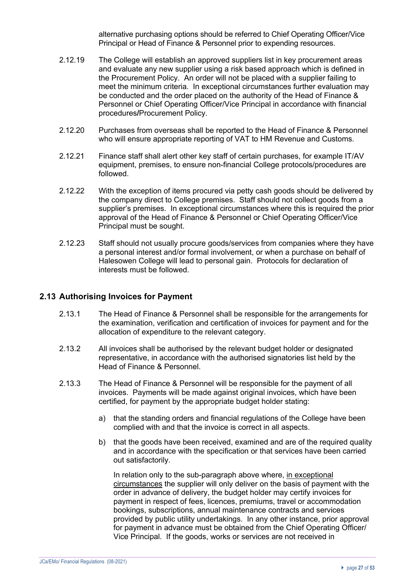alternative purchasing options should be referred to Chief Operating Officer/Vice Principal or Head of Finance & Personnel prior to expending resources.

- 2.12.19 The College will establish an approved suppliers list in key procurement areas and evaluate any new supplier using a risk based approach which is defined in the Procurement Policy. An order will not be placed with a supplier failing to meet the minimum criteria. In exceptional circumstances further evaluation may be conducted and the order placed on the authority of the Head of Finance & Personnel or Chief Operating Officer/Vice Principal in accordance with financial procedures**/**Procurement Policy.
- 2.12.20 Purchases from overseas shall be reported to the Head of Finance & Personnel who will ensure appropriate reporting of VAT to HM Revenue and Customs.
- 2.12.21 Finance staff shall alert other key staff of certain purchases, for example IT/AV equipment, premises, to ensure non-financial College protocols/procedures are followed.
- 2.12.22 With the exception of items procured via petty cash goods should be delivered by the company direct to College premises. Staff should not collect goods from a supplier's premises. In exceptional circumstances where this is required the prior approval of the Head of Finance & Personnel or Chief Operating Officer/Vice Principal must be sought.
- 2.12.23 Staff should not usually procure goods/services from companies where they have a personal interest and/or formal involvement, or when a purchase on behalf of Halesowen College will lead to personal gain. Protocols for declaration of interests must be followed.

#### **2.13 Authorising Invoices for Payment**

- 2.13.1 The Head of Finance & Personnel shall be responsible for the arrangements for the examination, verification and certification of invoices for payment and for the allocation of expenditure to the relevant category.
- 2.13.2 All invoices shall be authorised by the relevant budget holder or designated representative, in accordance with the authorised signatories list held by the Head of Finance & Personnel.
- 2.13.3 The Head of Finance & Personnel will be responsible for the payment of all invoices. Payments will be made against original invoices, which have been certified, for payment by the appropriate budget holder stating:
	- a) that the standing orders and financial regulations of the College have been complied with and that the invoice is correct in all aspects.
	- b) that the goods have been received, examined and are of the required quality and in accordance with the specification or that services have been carried out satisfactorily.

In relation only to the sub-paragraph above where, in exceptional circumstances the supplier will only deliver on the basis of payment with the order in advance of delivery, the budget holder may certify invoices for payment in respect of fees, licences, premiums, travel or accommodation bookings, subscriptions, annual maintenance contracts and services provided by public utility undertakings. In any other instance, prior approval for payment in advance must be obtained from the Chief Operating Officer/ Vice Principal. If the goods, works or services are not received in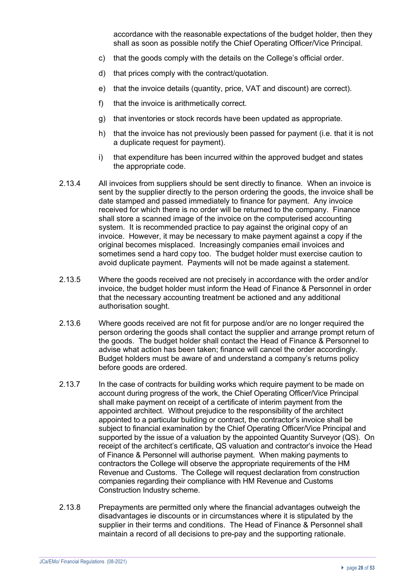accordance with the reasonable expectations of the budget holder, then they shall as soon as possible notify the Chief Operating Officer/Vice Principal.

- c) that the goods comply with the details on the College's official order.
- d) that prices comply with the contract/quotation.
- e) that the invoice details (quantity, price, VAT and discount) are correct).
- f) that the invoice is arithmetically correct.
- g) that inventories or stock records have been updated as appropriate.
- h) that the invoice has not previously been passed for payment (i.e. that it is not a duplicate request for payment).
- i) that expenditure has been incurred within the approved budget and states the appropriate code.
- 2.13.4 All invoices from suppliers should be sent directly to finance. When an invoice is sent by the supplier directly to the person ordering the goods, the invoice shall be date stamped and passed immediately to finance for payment. Any invoice received for which there is no order will be returned to the company. Finance shall store a scanned image of the invoice on the computerised accounting system. It is recommended practice to pay against the original copy of an invoice. However, it may be necessary to make payment against a copy if the original becomes misplaced. Increasingly companies email invoices and sometimes send a hard copy too. The budget holder must exercise caution to avoid duplicate payment. Payments will not be made against a statement.
- 2.13.5 Where the goods received are not precisely in accordance with the order and/or invoice, the budget holder must inform the Head of Finance & Personnel in order that the necessary accounting treatment be actioned and any additional authorisation sought.
- 2.13.6 Where goods received are not fit for purpose and/or are no longer required the person ordering the goods shall contact the supplier and arrange prompt return of the goods. The budget holder shall contact the Head of Finance & Personnel to advise what action has been taken; finance will cancel the order accordingly. Budget holders must be aware of and understand a company's returns policy before goods are ordered.
- 2.13.7 In the case of contracts for building works which require payment to be made on account during progress of the work, the Chief Operating Officer/Vice Principal shall make payment on receipt of a certificate of interim payment from the appointed architect. Without prejudice to the responsibility of the architect appointed to a particular building or contract, the contractor's invoice shall be subject to financial examination by the Chief Operating Officer/Vice Principal and supported by the issue of a valuation by the appointed Quantity Surveyor (QS). On receipt of the architect's certificate, QS valuation and contractor's invoice the Head of Finance & Personnel will authorise payment. When making payments to contractors the College will observe the appropriate requirements of the HM Revenue and Customs. The College will request declaration from construction companies regarding their compliance with HM Revenue and Customs Construction Industry scheme.
- 2.13.8 Prepayments are permitted only where the financial advantages outweigh the disadvantages ie discounts or in circumstances where it is stipulated by the supplier in their terms and conditions. The Head of Finance & Personnel shall maintain a record of all decisions to pre-pay and the supporting rationale.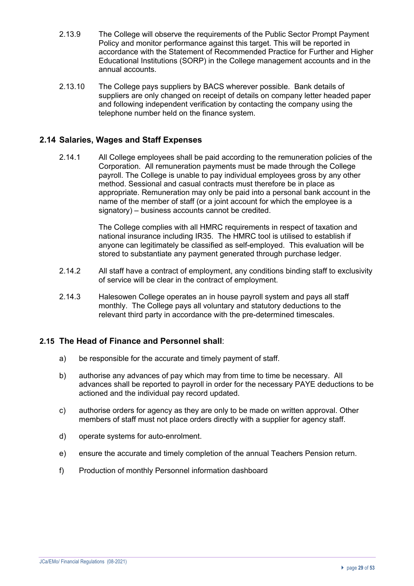- 2.13.9 The College will observe the requirements of the Public Sector Prompt Payment Policy and monitor performance against this target. This will be reported in accordance with the Statement of Recommended Practice for Further and Higher Educational Institutions (SORP) in the College management accounts and in the annual accounts.
- 2.13.10 The College pays suppliers by BACS wherever possible. Bank details of suppliers are only changed on receipt of details on company letter headed paper and following independent verification by contacting the company using the telephone number held on the finance system.

## **2.14 Salaries, Wages and Staff Expenses**

2.14.1 All College employees shall be paid according to the remuneration policies of the Corporation. All remuneration payments must be made through the College payroll. The College is unable to pay individual employees gross by any other method. Sessional and casual contracts must therefore be in place as appropriate. Remuneration may only be paid into a personal bank account in the name of the member of staff (or a joint account for which the employee is a signatory) – business accounts cannot be credited.

> The College complies with all HMRC requirements in respect of taxation and national insurance including IR35. The HMRC tool is utilised to establish if anyone can legitimately be classified as self-employed. This evaluation will be stored to substantiate any payment generated through purchase ledger.

- 2.14.2 All staff have a contract of employment, any conditions binding staff to exclusivity of service will be clear in the contract of employment.
- 2.14.3 Halesowen College operates an in house payroll system and pays all staff monthly. The College pays all voluntary and statutory deductions to the relevant third party in accordance with the pre-determined timescales.

# **2.15 The Head of Finance and Personnel shall**:

- a) be responsible for the accurate and timely payment of staff.
- b) authorise any advances of pay which may from time to time be necessary. All advances shall be reported to payroll in order for the necessary PAYE deductions to be actioned and the individual pay record updated.
- c) authorise orders for agency as they are only to be made on written approval. Other members of staff must not place orders directly with a supplier for agency staff.
- d) operate systems for auto-enrolment.
- e) ensure the accurate and timely completion of the annual Teachers Pension return.
- f) Production of monthly Personnel information dashboard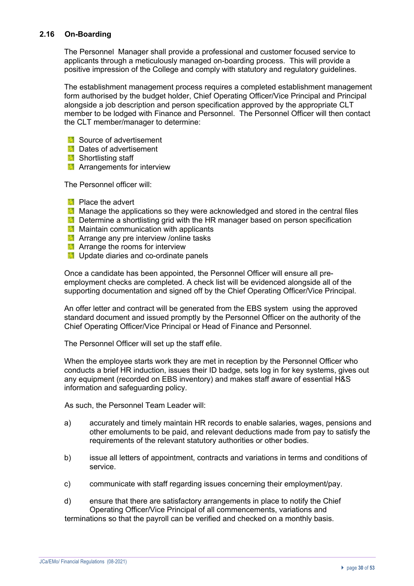#### **2.16 On-Boarding**

The Personnel Manager shall provide a professional and customer focused service to applicants through a meticulously managed on-boarding process. This will provide a positive impression of the College and comply with statutory and regulatory guidelines.

The establishment management process requires a completed establishment management form authorised by the budget holder, Chief Operating Officer/Vice Principal and Principal alongside a job description and person specification approved by the appropriate CLT member to be lodged with Finance and Personnel. The Personnel Officer will then contact the CLT member/manager to determine:

- **Source of advertisement**
- **Dates of advertisement**
- **Shortlisting staff**
- **Arrangements for interview**

The Personnel officer will:

- **Place the advert**
- **Manage the applications so they were acknowledged and stored in the central files**
- **Determine a shortlisting grid with the HR manager based on person specification**
- **Maintain communication with applicants**
- **Arrange any pre interview /online tasks**
- **Arrange the rooms for interview**
- **Update diaries and co-ordinate panels**

Once a candidate has been appointed, the Personnel Officer will ensure all preemployment checks are completed. A check list will be evidenced alongside all of the supporting documentation and signed off by the Chief Operating Officer/Vice Principal.

An offer letter and contract will be generated from the EBS system using the approved standard document and issued promptly by the Personnel Officer on the authority of the Chief Operating Officer/Vice Principal or Head of Finance and Personnel.

The Personnel Officer will set up the staff efile.

When the employee starts work they are met in reception by the Personnel Officer who conducts a brief HR induction, issues their ID badge, sets log in for key systems, gives out any equipment (recorded on EBS inventory) and makes staff aware of essential H&S information and safeguarding policy.

As such, the Personnel Team Leader will:

- a) accurately and timely maintain HR records to enable salaries, wages, pensions and other emoluments to be paid, and relevant deductions made from pay to satisfy the requirements of the relevant statutory authorities or other bodies.
- b) issue all letters of appointment, contracts and variations in terms and conditions of service.
- c) communicate with staff regarding issues concerning their employment/pay.
- d) ensure that there are satisfactory arrangements in place to notify the Chief Operating Officer/Vice Principal of all commencements, variations and terminations so that the payroll can be verified and checked on a monthly basis.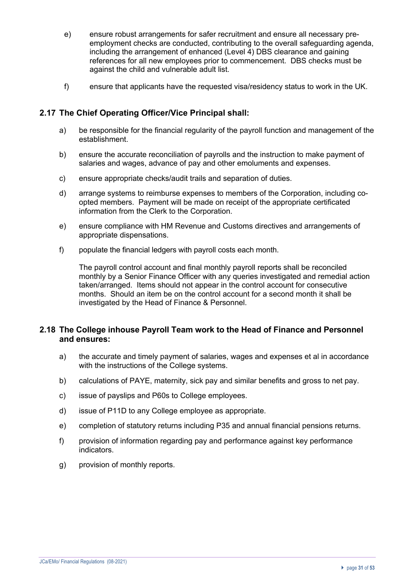- e) ensure robust arrangements for safer recruitment and ensure all necessary preemployment checks are conducted, contributing to the overall safeguarding agenda, including the arrangement of enhanced (Level 4) DBS clearance and gaining references for all new employees prior to commencement. DBS checks must be against the child and vulnerable adult list.
- f) ensure that applicants have the requested visa/residency status to work in the UK.

#### **2.17 The Chief Operating Officer/Vice Principal shall:**

- a) be responsible for the financial regularity of the payroll function and management of the establishment.
- b) ensure the accurate reconciliation of payrolls and the instruction to make payment of salaries and wages, advance of pay and other emoluments and expenses.
- c) ensure appropriate checks/audit trails and separation of duties.
- d) arrange systems to reimburse expenses to members of the Corporation, including coopted members. Payment will be made on receipt of the appropriate certificated information from the Clerk to the Corporation.
- e) ensure compliance with HM Revenue and Customs directives and arrangements of appropriate dispensations.
- f) populate the financial ledgers with payroll costs each month.

The payroll control account and final monthly payroll reports shall be reconciled monthly by a Senior Finance Officer with any queries investigated and remedial action taken/arranged. Items should not appear in the control account for consecutive months. Should an item be on the control account for a second month it shall be investigated by the Head of Finance & Personnel.

#### **2.18 The College inhouse Payroll Team work to the Head of Finance and Personnel and ensures:**

- a) the accurate and timely payment of salaries, wages and expenses et al in accordance with the instructions of the College systems.
- b) calculations of PAYE, maternity, sick pay and similar benefits and gross to net pay.
- c) issue of payslips and P60s to College employees.
- d) issue of P11D to any College employee as appropriate.
- e) completion of statutory returns including P35 and annual financial pensions returns.
- f) provision of information regarding pay and performance against key performance indicators.
- g) provision of monthly reports.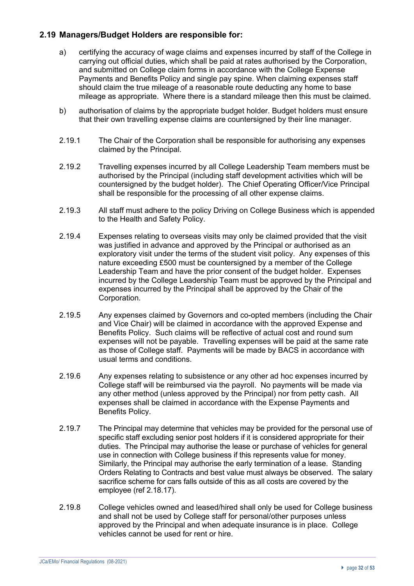#### **2.19 Managers/Budget Holders are responsible for:**

- a) certifying the accuracy of wage claims and expenses incurred by staff of the College in carrying out official duties, which shall be paid at rates authorised by the Corporation, and submitted on College claim forms in accordance with the College Expense Payments and Benefits Policy and single pay spine. When claiming expenses staff should claim the true mileage of a reasonable route deducting any home to base mileage as appropriate. Where there is a standard mileage then this must be claimed.
- b) authorisation of claims by the appropriate budget holder. Budget holders must ensure that their own travelling expense claims are countersigned by their line manager.
- 2.19.1 The Chair of the Corporation shall be responsible for authorising any expenses claimed by the Principal.
- 2.19.2 Travelling expenses incurred by all College Leadership Team members must be authorised by the Principal (including staff development activities which will be countersigned by the budget holder). The Chief Operating Officer/Vice Principal shall be responsible for the processing of all other expense claims.
- 2.19.3 All staff must adhere to the policy Driving on College Business which is appended to the Health and Safety Policy.
- 2.19.4 Expenses relating to overseas visits may only be claimed provided that the visit was justified in advance and approved by the Principal or authorised as an exploratory visit under the terms of the student visit policy. Any expenses of this nature exceeding £500 must be countersigned by a member of the College Leadership Team and have the prior consent of the budget holder. Expenses incurred by the College Leadership Team must be approved by the Principal and expenses incurred by the Principal shall be approved by the Chair of the Corporation.
- 2.19.5 Any expenses claimed by Governors and co-opted members (including the Chair and Vice Chair) will be claimed in accordance with the approved Expense and Benefits Policy. Such claims will be reflective of actual cost and round sum expenses will not be payable. Travelling expenses will be paid at the same rate as those of College staff. Payments will be made by BACS in accordance with usual terms and conditions.
- 2.19.6 Any expenses relating to subsistence or any other ad hoc expenses incurred by College staff will be reimbursed via the payroll. No payments will be made via any other method (unless approved by the Principal) nor from petty cash. All expenses shall be claimed in accordance with the Expense Payments and Benefits Policy.
- 2.19.7 The Principal may determine that vehicles may be provided for the personal use of specific staff excluding senior post holders if it is considered appropriate for their duties. The Principal may authorise the lease or purchase of vehicles for general use in connection with College business if this represents value for money. Similarly, the Principal may authorise the early termination of a lease. Standing Orders Relating to Contracts and best value must always be observed. The salary sacrifice scheme for cars falls outside of this as all costs are covered by the employee (ref 2.18.17).
- 2.19.8 College vehicles owned and leased/hired shall only be used for College business and shall not be used by College staff for personal/other purposes unless approved by the Principal and when adequate insurance is in place. College vehicles cannot be used for rent or hire.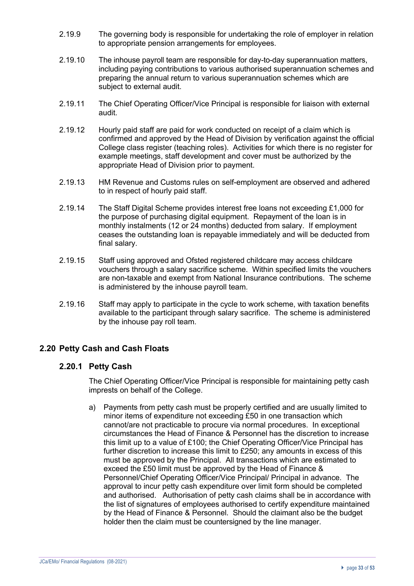- 2.19.9 The governing body is responsible for undertaking the role of employer in relation to appropriate pension arrangements for employees.
- 2.19.10 The inhouse payroll team are responsible for day-to-day superannuation matters, including paying contributions to various authorised superannuation schemes and preparing the annual return to various superannuation schemes which are subject to external audit.
- 2.19.11 The Chief Operating Officer/Vice Principal is responsible for liaison with external audit.
- 2.19.12 Hourly paid staff are paid for work conducted on receipt of a claim which is confirmed and approved by the Head of Division by verification against the official College class register (teaching roles). Activities for which there is no register for example meetings, staff development and cover must be authorized by the appropriate Head of Division prior to payment.
- 2.19.13 HM Revenue and Customs rules on self-employment are observed and adhered to in respect of hourly paid staff.
- 2.19.14 The Staff Digital Scheme provides interest free loans not exceeding £1,000 for the purpose of purchasing digital equipment. Repayment of the loan is in monthly instalments (12 or 24 months) deducted from salary. If employment ceases the outstanding loan is repayable immediately and will be deducted from final salary.
- 2.19.15 Staff using approved and Ofsted registered childcare may access childcare vouchers through a salary sacrifice scheme. Within specified limits the vouchers are non-taxable and exempt from National Insurance contributions. The scheme is administered by the inhouse payroll team.
- 2.19.16 Staff may apply to participate in the cycle to work scheme, with taxation benefits available to the participant through salary sacrifice. The scheme is administered by the inhouse pay roll team.

## **2.20 Petty Cash and Cash Floats**

#### **2.20.1 Petty Cash**

The Chief Operating Officer/Vice Principal is responsible for maintaining petty cash imprests on behalf of the College.

a) Payments from petty cash must be properly certified and are usually limited to minor items of expenditure not exceeding £50 in one transaction which cannot/are not practicable to procure via normal procedures. In exceptional circumstances the Head of Finance & Personnel has the discretion to increase this limit up to a value of £100; the Chief Operating Officer/Vice Principal has further discretion to increase this limit to £250; any amounts in excess of this must be approved by the Principal. All transactions which are estimated to exceed the £50 limit must be approved by the Head of Finance & Personnel/Chief Operating Officer/Vice Principal/ Principal in advance. The approval to incur petty cash expenditure over limit form should be completed and authorised. Authorisation of petty cash claims shall be in accordance with the list of signatures of employees authorised to certify expenditure maintained by the Head of Finance & Personnel. Should the claimant also be the budget holder then the claim must be countersigned by the line manager.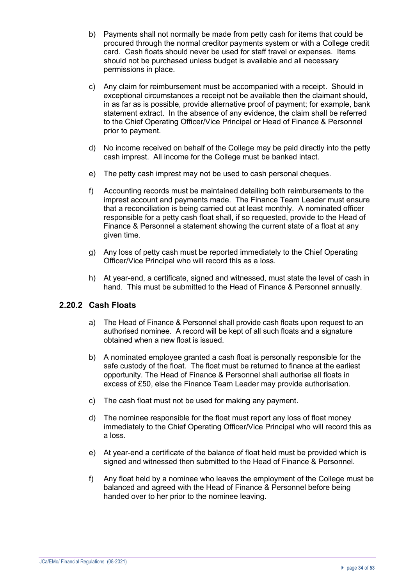- b) Payments shall not normally be made from petty cash for items that could be procured through the normal creditor payments system or with a College credit card. Cash floats should never be used for staff travel or expenses. Items should not be purchased unless budget is available and all necessary permissions in place.
- c) Any claim for reimbursement must be accompanied with a receipt. Should in exceptional circumstances a receipt not be available then the claimant should, in as far as is possible, provide alternative proof of payment; for example, bank statement extract. In the absence of any evidence, the claim shall be referred to the Chief Operating Officer/Vice Principal or Head of Finance & Personnel prior to payment.
- d) No income received on behalf of the College may be paid directly into the petty cash imprest. All income for the College must be banked intact.
- e) The petty cash imprest may not be used to cash personal cheques.
- f) Accounting records must be maintained detailing both reimbursements to the imprest account and payments made. The Finance Team Leader must ensure that a reconciliation is being carried out at least monthly. A nominated officer responsible for a petty cash float shall, if so requested, provide to the Head of Finance & Personnel a statement showing the current state of a float at any given time.
- g) Any loss of petty cash must be reported immediately to the Chief Operating Officer/Vice Principal who will record this as a loss.
- h) At year-end, a certificate, signed and witnessed, must state the level of cash in hand. This must be submitted to the Head of Finance & Personnel annually.

## **2.20.2 Cash Floats**

- a) The Head of Finance & Personnel shall provide cash floats upon request to an authorised nominee. A record will be kept of all such floats and a signature obtained when a new float is issued.
- b) A nominated employee granted a cash float is personally responsible for the safe custody of the float. The float must be returned to finance at the earliest opportunity. The Head of Finance & Personnel shall authorise all floats in excess of £50, else the Finance Team Leader may provide authorisation.
- c) The cash float must not be used for making any payment.
- d) The nominee responsible for the float must report any loss of float money immediately to the Chief Operating Officer/Vice Principal who will record this as a loss.
- e) At year-end a certificate of the balance of float held must be provided which is signed and witnessed then submitted to the Head of Finance & Personnel.
- f) Any float held by a nominee who leaves the employment of the College must be balanced and agreed with the Head of Finance & Personnel before being handed over to her prior to the nominee leaving.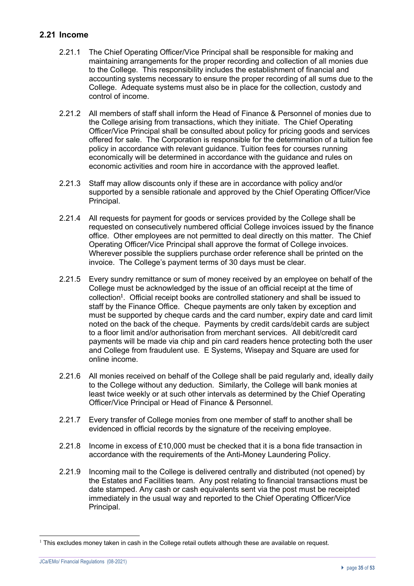#### **2.21 Income**

- 2.21.1 The Chief Operating Officer/Vice Principal shall be responsible for making and maintaining arrangements for the proper recording and collection of all monies due to the College. This responsibility includes the establishment of financial and accounting systems necessary to ensure the proper recording of all sums due to the College. Adequate systems must also be in place for the collection, custody and control of income.
- 2.21.2 All members of staff shall inform the Head of Finance & Personnel of monies due to the College arising from transactions, which they initiate. The Chief Operating Officer/Vice Principal shall be consulted about policy for pricing goods and services offered for sale. The Corporation is responsible for the determination of a tuition fee policy in accordance with relevant guidance. Tuition fees for courses running economically will be determined in accordance with the guidance and rules on economic activities and room hire in accordance with the approved leaflet.
- 2.21.3 Staff may allow discounts only if these are in accordance with policy and/or supported by a sensible rationale and approved by the Chief Operating Officer/Vice Principal.
- 2.21.4 All requests for payment for goods or services provided by the College shall be requested on consecutively numbered official College invoices issued by the finance office. Other employees are not permitted to deal directly on this matter. The Chief Operating Officer/Vice Principal shall approve the format of College invoices. Wherever possible the suppliers purchase order reference shall be printed on the invoice. The College's payment terms of 30 days must be clear.
- 2.21.5 Every sundry remittance or sum of money received by an employee on behalf of the College must be acknowledged by the issue of an official receipt at the time of collection<sup>1</sup>. Official receipt books are controlled stationery and shall be issued to staff by the Finance Office. Cheque payments are only taken by exception and must be supported by cheque cards and the card number, expiry date and card limit noted on the back of the cheque. Payments by credit cards/debit cards are subject to a floor limit and/or authorisation from merchant services. All debit/credit card payments will be made via chip and pin card readers hence protecting both the user and College from fraudulent use. E Systems, Wisepay and Square are used for online income.
- 2.21.6 All monies received on behalf of the College shall be paid regularly and, ideally daily to the College without any deduction. Similarly, the College will bank monies at least twice weekly or at such other intervals as determined by the Chief Operating Officer/Vice Principal or Head of Finance & Personnel.
- 2.21.7 Every transfer of College monies from one member of staff to another shall be evidenced in official records by the signature of the receiving employee.
- 2.21.8 Income in excess of £10,000 must be checked that it is a bona fide transaction in accordance with the requirements of the Anti-Money Laundering Policy.
- 2.21.9 Incoming mail to the College is delivered centrally and distributed (not opened) by the Estates and Facilities team. Any post relating to financial transactions must be date stamped. Any cash or cash equivalents sent via the post must be receipted immediately in the usual way and reported to the Chief Operating Officer/Vice Principal.

JCa/EMo/ Financial Regulations (08-2021)

 $1$  This excludes money taken in cash in the College retail outlets although these are available on request.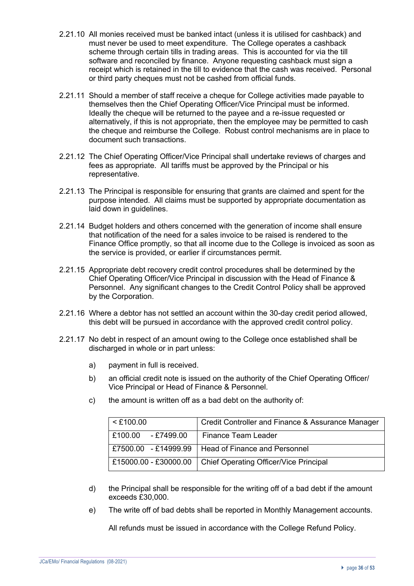- 2.21.10 All monies received must be banked intact (unless it is utilised for cashback) and must never be used to meet expenditure. The College operates a cashback scheme through certain tills in trading areas. This is accounted for via the till software and reconciled by finance. Anyone requesting cashback must sign a receipt which is retained in the till to evidence that the cash was received. Personal or third party cheques must not be cashed from official funds.
- 2.21.11 Should a member of staff receive a cheque for College activities made payable to themselves then the Chief Operating Officer/Vice Principal must be informed. Ideally the cheque will be returned to the payee and a re-issue requested or alternatively, if this is not appropriate, then the employee may be permitted to cash the cheque and reimburse the College. Robust control mechanisms are in place to document such transactions.
- 2.21.12 The Chief Operating Officer/Vice Principal shall undertake reviews of charges and fees as appropriate. All tariffs must be approved by the Principal or his representative.
- 2.21.13 The Principal is responsible for ensuring that grants are claimed and spent for the purpose intended. All claims must be supported by appropriate documentation as laid down in guidelines.
- 2.21.14 Budget holders and others concerned with the generation of income shall ensure that notification of the need for a sales invoice to be raised is rendered to the Finance Office promptly, so that all income due to the College is invoiced as soon as the service is provided, or earlier if circumstances permit.
- 2.21.15 Appropriate debt recovery credit control procedures shall be determined by the Chief Operating Officer/Vice Principal in discussion with the Head of Finance & Personnel. Any significant changes to the Credit Control Policy shall be approved by the Corporation.
- 2.21.16 Where a debtor has not settled an account within the 30-day credit period allowed, this debt will be pursued in accordance with the approved credit control policy.
- 2.21.17 No debt in respect of an amount owing to the College once established shall be discharged in whole or in part unless:
	- a) payment in full is received.
	- b) an official credit note is issued on the authority of the Chief Operating Officer/ Vice Principal or Head of Finance & Personnel.

| $<$ £100.00           | Credit Controller and Finance & Assurance Manager |
|-----------------------|---------------------------------------------------|
| £100.00<br>- £7499.00 | Finance Team Leader                               |
| £7500.00 - £14999.99  | Head of Finance and Personnel                     |
| £15000.00 - £30000.00 | Chief Operating Officer/Vice Principal            |

c) the amount is written off as a bad debt on the authority of:

- d) the Principal shall be responsible for the writing off of a bad debt if the amount exceeds £30,000.
- e) The write off of bad debts shall be reported in Monthly Management accounts.

All refunds must be issued in accordance with the College Refund Policy.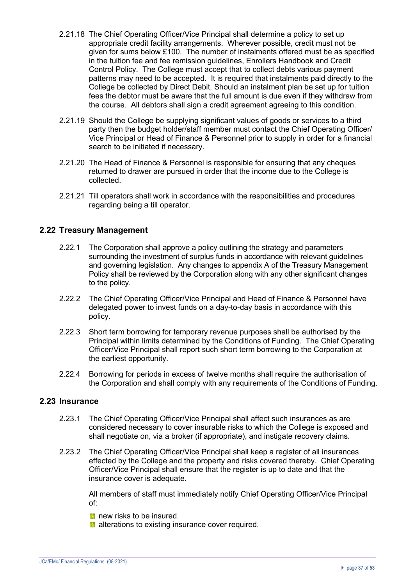- 2.21.18 The Chief Operating Officer/Vice Principal shall determine a policy to set up appropriate credit facility arrangements. Wherever possible, credit must not be given for sums below £100. The number of instalments offered must be as specified in the tuition fee and fee remission guidelines, Enrollers Handbook and Credit Control Policy. The College must accept that to collect debts various payment patterns may need to be accepted. It is required that instalments paid directly to the College be collected by Direct Debit. Should an instalment plan be set up for tuition fees the debtor must be aware that the full amount is due even if they withdraw from the course. All debtors shall sign a credit agreement agreeing to this condition.
- 2.21.19 Should the College be supplying significant values of goods or services to a third party then the budget holder/staff member must contact the Chief Operating Officer/ Vice Principal or Head of Finance & Personnel prior to supply in order for a financial search to be initiated if necessary.
- 2.21.20 The Head of Finance & Personnel is responsible for ensuring that any cheques returned to drawer are pursued in order that the income due to the College is collected.
- 2.21.21 Till operators shall work in accordance with the responsibilities and procedures regarding being a till operator.

#### **2.22 Treasury Management**

- 2.22.1 The Corporation shall approve a policy outlining the strategy and parameters surrounding the investment of surplus funds in accordance with relevant quidelines and governing legislation. Any changes to appendix A of the Treasury Management Policy shall be reviewed by the Corporation along with any other significant changes to the policy.
- 2.22.2 The Chief Operating Officer/Vice Principal and Head of Finance & Personnel have delegated power to invest funds on a day-to-day basis in accordance with this policy.
- 2.22.3 Short term borrowing for temporary revenue purposes shall be authorised by the Principal within limits determined by the Conditions of Funding. The Chief Operating Officer/Vice Principal shall report such short term borrowing to the Corporation at the earliest opportunity.
- 2.22.4 Borrowing for periods in excess of twelve months shall require the authorisation of the Corporation and shall comply with any requirements of the Conditions of Funding.

#### **2.23 Insurance**

- 2.23.1 The Chief Operating Officer/Vice Principal shall affect such insurances as are considered necessary to cover insurable risks to which the College is exposed and shall negotiate on, via a broker (if appropriate), and instigate recovery claims.
- 2.23.2 The Chief Operating Officer/Vice Principal shall keep a register of all insurances effected by the College and the property and risks covered thereby. Chief Operating Officer/Vice Principal shall ensure that the register is up to date and that the insurance cover is adequate.

All members of staff must immediately notify Chief Operating Officer/Vice Principal of:

**n** new risks to be insured.

**a** alterations to existing insurance cover required.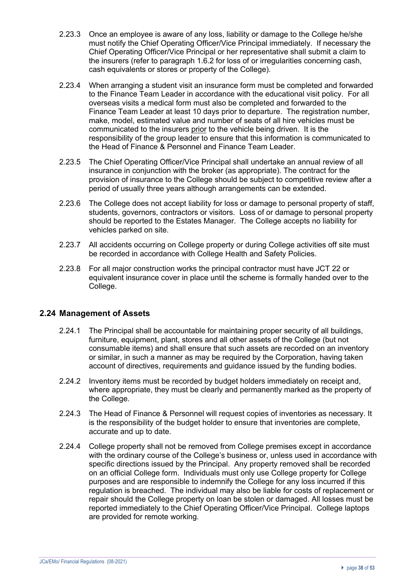- 2.23.3 Once an employee is aware of any loss, liability or damage to the College he/she must notify the Chief Operating Officer/Vice Principal immediately. If necessary the Chief Operating Officer/Vice Principal or her representative shall submit a claim to the insurers (refer to paragraph 1.6.2 for loss of or irregularities concerning cash, cash equivalents or stores or property of the College).
- 2.23.4 When arranging a student visit an insurance form must be completed and forwarded to the Finance Team Leader in accordance with the educational visit policy. For all overseas visits a medical form must also be completed and forwarded to the Finance Team Leader at least 10 days prior to departure. The registration number, make, model, estimated value and number of seats of all hire vehicles must be communicated to the insurers prior to the vehicle being driven. It is the responsibility of the group leader to ensure that this information is communicated to the Head of Finance & Personnel and Finance Team Leader.
- 2.23.5 The Chief Operating Officer/Vice Principal shall undertake an annual review of all insurance in conjunction with the broker (as appropriate). The contract for the provision of insurance to the College should be subject to competitive review after a period of usually three years although arrangements can be extended.
- 2.23.6 The College does not accept liability for loss or damage to personal property of staff, students, governors, contractors or visitors. Loss of or damage to personal property should be reported to the Estates Manager. The College accepts no liability for vehicles parked on site.
- 2.23.7 All accidents occurring on College property or during College activities off site must be recorded in accordance with College Health and Safety Policies.
- 2.23.8 For all major construction works the principal contractor must have JCT 22 or equivalent insurance cover in place until the scheme is formally handed over to the College.

## **2.24 Management of Assets**

- 2.24.1 The Principal shall be accountable for maintaining proper security of all buildings, furniture, equipment, plant, stores and all other assets of the College (but not consumable items) and shall ensure that such assets are recorded on an inventory or similar, in such a manner as may be required by the Corporation, having taken account of directives, requirements and guidance issued by the funding bodies.
- 2.24.2 Inventory items must be recorded by budget holders immediately on receipt and, where appropriate, they must be clearly and permanently marked as the property of the College.
- 2.24.3 The Head of Finance & Personnel will request copies of inventories as necessary. It is the responsibility of the budget holder to ensure that inventories are complete, accurate and up to date.
- 2.24.4 College property shall not be removed from College premises except in accordance with the ordinary course of the College's business or, unless used in accordance with specific directions issued by the Principal. Any property removed shall be recorded on an official College form. Individuals must only use College property for College purposes and are responsible to indemnify the College for any loss incurred if this regulation is breached. The individual may also be liable for costs of replacement or repair should the College property on loan be stolen or damaged. All losses must be reported immediately to the Chief Operating Officer/Vice Principal. College laptops are provided for remote working.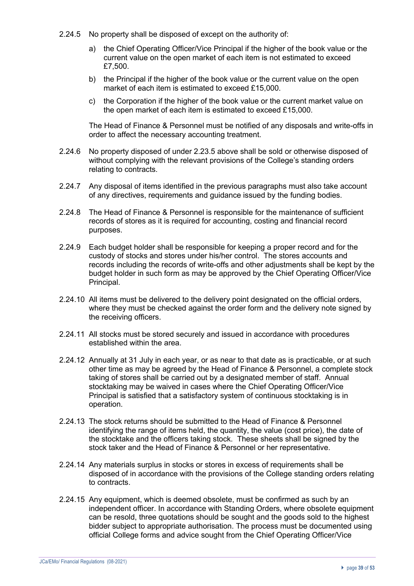- 2.24.5 No property shall be disposed of except on the authority of:
	- a) the Chief Operating Officer/Vice Principal if the higher of the book value or the current value on the open market of each item is not estimated to exceed £7,500.
	- b) the Principal if the higher of the book value or the current value on the open market of each item is estimated to exceed £15,000.
	- c) the Corporation if the higher of the book value or the current market value on the open market of each item is estimated to exceed £15,000.

The Head of Finance & Personnel must be notified of any disposals and write-offs in order to affect the necessary accounting treatment.

- 2.24.6 No property disposed of under 2.23.5 above shall be sold or otherwise disposed of without complying with the relevant provisions of the College's standing orders relating to contracts.
- 2.24.7 Any disposal of items identified in the previous paragraphs must also take account of any directives, requirements and guidance issued by the funding bodies.
- 2.24.8 The Head of Finance & Personnel is responsible for the maintenance of sufficient records of stores as it is required for accounting, costing and financial record purposes.
- 2.24.9 Each budget holder shall be responsible for keeping a proper record and for the custody of stocks and stores under his/her control. The stores accounts and records including the records of write-offs and other adjustments shall be kept by the budget holder in such form as may be approved by the Chief Operating Officer/Vice Principal.
- 2.24.10 All items must be delivered to the delivery point designated on the official orders, where they must be checked against the order form and the delivery note signed by the receiving officers.
- 2.24.11 All stocks must be stored securely and issued in accordance with procedures established within the area.
- 2.24.12 Annually at 31 July in each year, or as near to that date as is practicable, or at such other time as may be agreed by the Head of Finance & Personnel, a complete stock taking of stores shall be carried out by a designated member of staff. Annual stocktaking may be waived in cases where the Chief Operating Officer/Vice Principal is satisfied that a satisfactory system of continuous stocktaking is in operation.
- 2.24.13 The stock returns should be submitted to the Head of Finance & Personnel identifying the range of items held, the quantity, the value (cost price), the date of the stocktake and the officers taking stock. These sheets shall be signed by the stock taker and the Head of Finance & Personnel or her representative.
- 2.24.14 Any materials surplus in stocks or stores in excess of requirements shall be disposed of in accordance with the provisions of the College standing orders relating to contracts.
- 2.24.15 Any equipment, which is deemed obsolete, must be confirmed as such by an independent officer. In accordance with Standing Orders, where obsolete equipment can be resold, three quotations should be sought and the goods sold to the highest bidder subject to appropriate authorisation. The process must be documented using official College forms and advice sought from the Chief Operating Officer/Vice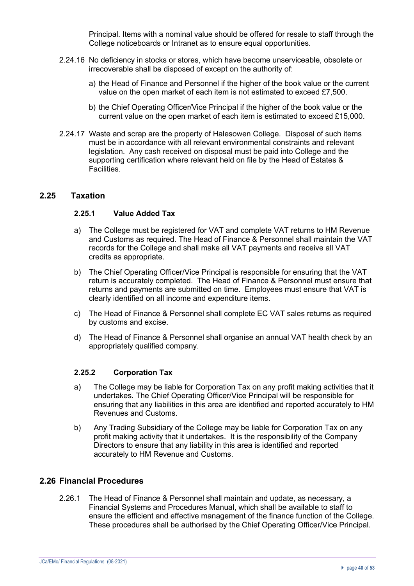Principal. Items with a nominal value should be offered for resale to staff through the College noticeboards or Intranet as to ensure equal opportunities.

- 2.24.16 No deficiency in stocks or stores, which have become unserviceable, obsolete or irrecoverable shall be disposed of except on the authority of:
	- a) the Head of Finance and Personnel if the higher of the book value or the current value on the open market of each item is not estimated to exceed £7,500.
	- b) the Chief Operating Officer/Vice Principal if the higher of the book value or the current value on the open market of each item is estimated to exceed £15,000.
- 2.24.17 Waste and scrap are the property of Halesowen College. Disposal of such items must be in accordance with all relevant environmental constraints and relevant legislation. Any cash received on disposal must be paid into College and the supporting certification where relevant held on file by the Head of Estates & **Facilities**

#### **2.25 Taxation**

#### **2.25.1 Value Added Tax**

- a) The College must be registered for VAT and complete VAT returns to HM Revenue and Customs as required. The Head of Finance & Personnel shall maintain the VAT records for the College and shall make all VAT payments and receive all VAT credits as appropriate.
- b) The Chief Operating Officer/Vice Principal is responsible for ensuring that the VAT return is accurately completed. The Head of Finance & Personnel must ensure that returns and payments are submitted on time. Employees must ensure that VAT is clearly identified on all income and expenditure items.
- c) The Head of Finance & Personnel shall complete EC VAT sales returns as required by customs and excise.
- d) The Head of Finance & Personnel shall organise an annual VAT health check by an appropriately qualified company.

#### **2.25.2 Corporation Tax**

- a) The College may be liable for Corporation Tax on any profit making activities that it undertakes. The Chief Operating Officer/Vice Principal will be responsible for ensuring that any liabilities in this area are identified and reported accurately to HM Revenues and Customs.
- b) Any Trading Subsidiary of the College may be liable for Corporation Tax on any profit making activity that it undertakes. It is the responsibility of the Company Directors to ensure that any liability in this area is identified and reported accurately to HM Revenue and Customs.

#### **2.26 Financial Procedures**

2.26.1 The Head of Finance & Personnel shall maintain and update, as necessary, a Financial Systems and Procedures Manual, which shall be available to staff to ensure the efficient and effective management of the finance function of the College. These procedures shall be authorised by the Chief Operating Officer/Vice Principal.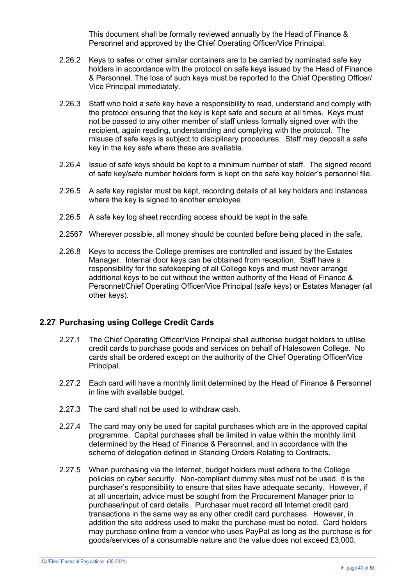This document shall be formally reviewed annually by the Head of Finance & Personnel and approved by the Chief Operating Officer/Vice Principal.

- 2.26.2 Keys to safes or other similar containers are to be carried by nominated safe key holders in accordance with the protocol on safe keys issued by the Head of Finance & Personnel. The loss of such keys must be reported to the Chief Operating Officer/ Vice Principal immediately.
- 2.26.3 Staff who hold a safe key have a responsibility to read, understand and comply with the protocol ensuring that the key is kept safe and secure at all times. Keys must not be passed to any other member of staff unless formally signed over with the recipient, again reading, understanding and complying with the protocol. The misuse of safe keys is subject to disciplinary procedures. Staff may deposit a safe key in the key safe where these are available.
- 2.26.4 Issue of safe keys should be kept to a minimum number of staff. The signed record of safe key/safe number holders form is kept on the safe key holder's personnel file.
- 2.26.5 A safe key register must be kept, recording details of all key holders and instances where the key is signed to another employee.
- 2.26.5 A safe key log sheet recording access should be kept in the safe.
- 2.2567 Wherever possible, all money should be counted before being placed in the safe.
- 2.26.8 Keys to access the College premises are controlled and issued by the Estates Manager. Internal door keys can be obtained from reception. Staff have a responsibility for the safekeeping of all College keys and must never arrange additional keys to be cut without the written authority of the Head of Finance & Personnel/Chief Operating Officer/Vice Principal (safe keys) or Estates Manager (all other keys).

## **2.27 Purchasing using College Credit Cards**

- 2.27.1 The Chief Operating Officer/Vice Principal shall authorise budget holders to utilise credit cards to purchase goods and services on behalf of Halesowen College. No cards shall be ordered except on the authority of the Chief Operating Officer/Vice Principal.
- 2.27.2 Each card will have a monthly limit determined by the Head of Finance & Personnel in line with available budget.
- 2.27.3 The card shall not be used to withdraw cash.
- 2.27.4 The card may only be used for capital purchases which are in the approved capital programme. Capital purchases shall be limited in value within the monthly limit determined by the Head of Finance & Personnel, and in accordance with the scheme of delegation defined in Standing Orders Relating to Contracts.
- 2.27.5 When purchasing via the Internet, budget holders must adhere to the College policies on cyber security. Non-compliant dummy sites must not be used. It is the purchaser's responsibility to ensure that sites have adequate security. However, if at all uncertain, advice must be sought from the Procurement Manager prior to purchase/input of card details. Purchaser must record all Internet credit card transactions in the same way as any other credit card purchases. However, in addition the site address used to make the purchase must be noted. Card holders may purchase online from a vendor who uses PayPal as long as the purchase is for goods/services of a consumable nature and the value does not exceed £3,000.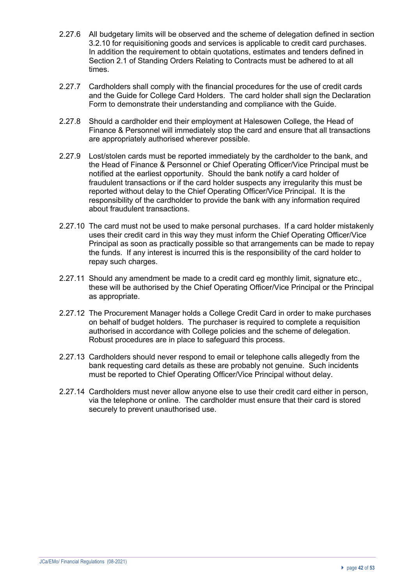- 2.27.6 All budgetary limits will be observed and the scheme of delegation defined in section 3.2.10 for requisitioning goods and services is applicable to credit card purchases. In addition the requirement to obtain quotations, estimates and tenders defined in Section 2.1 of Standing Orders Relating to Contracts must be adhered to at all times.
- 2.27.7 Cardholders shall comply with the financial procedures for the use of credit cards and the Guide for College Card Holders. The card holder shall sign the Declaration Form to demonstrate their understanding and compliance with the Guide.
- 2.27.8 Should a cardholder end their employment at Halesowen College, the Head of Finance & Personnel will immediately stop the card and ensure that all transactions are appropriately authorised wherever possible.
- 2.27.9 Lost/stolen cards must be reported immediately by the cardholder to the bank, and the Head of Finance & Personnel or Chief Operating Officer/Vice Principal must be notified at the earliest opportunity. Should the bank notify a card holder of fraudulent transactions or if the card holder suspects any irregularity this must be reported without delay to the Chief Operating Officer/Vice Principal. It is the responsibility of the cardholder to provide the bank with any information required about fraudulent transactions.
- 2.27.10 The card must not be used to make personal purchases. If a card holder mistakenly uses their credit card in this way they must inform the Chief Operating Officer/Vice Principal as soon as practically possible so that arrangements can be made to repay the funds. If any interest is incurred this is the responsibility of the card holder to repay such charges.
- 2.27.11 Should any amendment be made to a credit card eg monthly limit, signature etc., these will be authorised by the Chief Operating Officer/Vice Principal or the Principal as appropriate.
- 2.27.12 The Procurement Manager holds a College Credit Card in order to make purchases on behalf of budget holders. The purchaser is required to complete a requisition authorised in accordance with College policies and the scheme of delegation. Robust procedures are in place to safeguard this process.
- 2.27.13 Cardholders should never respond to email or telephone calls allegedly from the bank requesting card details as these are probably not genuine. Such incidents must be reported to Chief Operating Officer/Vice Principal without delay.
- 2.27.14 Cardholders must never allow anyone else to use their credit card either in person, via the telephone or online. The cardholder must ensure that their card is stored securely to prevent unauthorised use.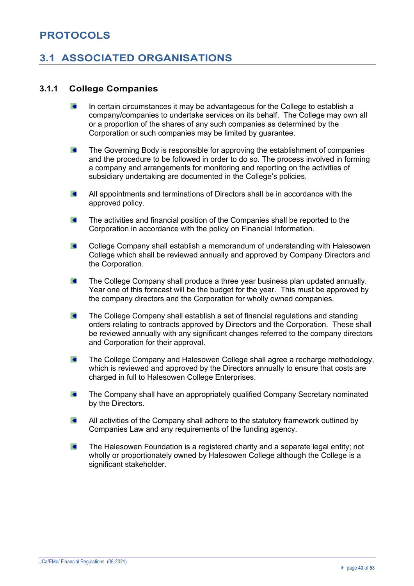# **PROTOCOLS**

# **3.1 ASSOCIATED ORGANISATIONS**

# **3.1.1 College Companies**

- $\overline{a}$ In certain circumstances it may be advantageous for the College to establish a company/companies to undertake services on its behalf. The College may own all or a proportion of the shares of any such companies as determined by the Corporation or such companies may be limited by guarantee.
- $\epsilon$ The Governing Body is responsible for approving the establishment of companies and the procedure to be followed in order to do so. The process involved in forming a company and arrangements for monitoring and reporting on the activities of subsidiary undertaking are documented in the College's policies.
- $\epsilon$ All appointments and terminations of Directors shall be in accordance with the approved policy.
- $\epsilon$ The activities and financial position of the Companies shall be reported to the Corporation in accordance with the policy on Financial Information.
- $\epsilon$ College Company shall establish a memorandum of understanding with Halesowen College which shall be reviewed annually and approved by Company Directors and the Corporation.
- $\bullet$ The College Company shall produce a three year business plan updated annually. Year one of this forecast will be the budget for the year. This must be approved by the company directors and the Corporation for wholly owned companies.
- $\bullet$ The College Company shall establish a set of financial regulations and standing orders relating to contracts approved by Directors and the Corporation. These shall be reviewed annually with any significant changes referred to the company directors and Corporation for their approval.
- $\epsilon$ The College Company and Halesowen College shall agree a recharge methodology, which is reviewed and approved by the Directors annually to ensure that costs are charged in full to Halesowen College Enterprises.
- $\blacksquare$ The Company shall have an appropriately qualified Company Secretary nominated by the Directors.
- $\blacksquare$ All activities of the Company shall adhere to the statutory framework outlined by Companies Law and any requirements of the funding agency.
- $\epsilon$ The Halesowen Foundation is a registered charity and a separate legal entity; not wholly or proportionately owned by Halesowen College although the College is a significant stakeholder.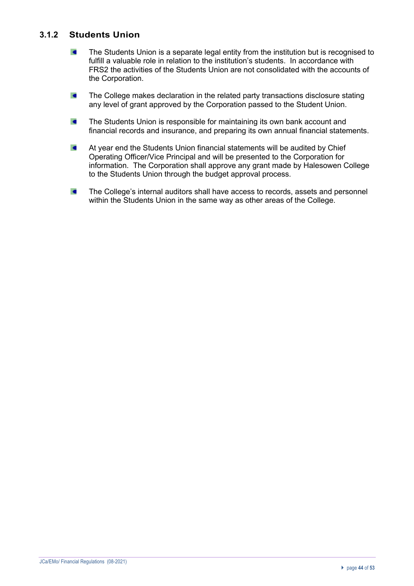# **3.1.2 Students Union**

- $\blacksquare$ The Students Union is a separate legal entity from the institution but is recognised to fulfill a valuable role in relation to the institution's students. In accordance with FRS2 the activities of the Students Union are not consolidated with the accounts of the Corporation.
- $\bullet$ The College makes declaration in the related party transactions disclosure stating any level of grant approved by the Corporation passed to the Student Union.
- $\epsilon$ The Students Union is responsible for maintaining its own bank account and financial records and insurance, and preparing its own annual financial statements.
- $\blacksquare$ At year end the Students Union financial statements will be audited by Chief Operating Officer/Vice Principal and will be presented to the Corporation for information. The Corporation shall approve any grant made by Halesowen College to the Students Union through the budget approval process.
- The College's internal auditors shall have access to records, assets and personnel  $\epsilon$ within the Students Union in the same way as other areas of the College.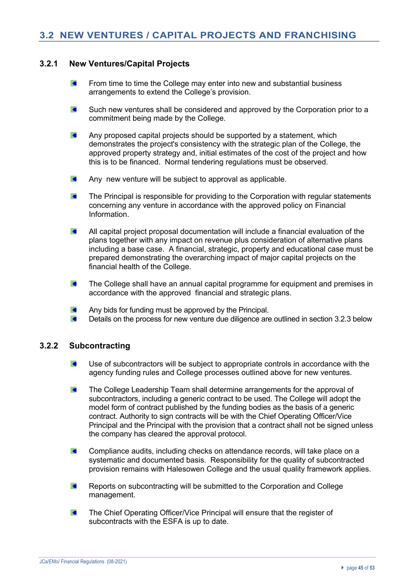#### **3.2.1 New Ventures/Capital Projects**

- $\epsilon$ From time to time the College may enter into new and substantial business arrangements to extend the College's provision.
- $\epsilon$ Such new ventures shall be considered and approved by the Corporation prior to a commitment being made by the College.
- $\epsilon$ Any proposed capital projects should be supported by a statement, which demonstrates the project's consistency with the strategic plan of the College, the approved property strategy and, initial estimates of the cost of the project and how this is to be financed. Normal tendering regulations must be observed.
- $\bullet$ Any new venture will be subject to approval as applicable.
- $\epsilon$ The Principal is responsible for providing to the Corporation with regular statements concerning any venture in accordance with the approved policy on Financial Information.
- $\blacksquare$ All capital project proposal documentation will include a financial evaluation of the plans together with any impact on revenue plus consideration of alternative plans including a base case. A financial, strategic, property and educational case must be prepared demonstrating the overarching impact of major capital projects on the financial health of the College.
- $\blacksquare$ The College shall have an annual capital programme for equipment and premises in accordance with the approved financial and strategic plans.
- Any bids for funding must be approved by the Principal.  $\blacksquare$
- $\epsilon$ Details on the process for new venture due diligence are outlined in section 3.2.3 below

#### **3.2.2 Subcontracting**

- $\epsilon$ Use of subcontractors will be subject to appropriate controls in accordance with the agency funding rules and College processes outlined above for new ventures.
- The College Leadership Team shall determine arrangements for the approval of  $\bullet$ subcontractors, including a generic contract to be used. The College will adopt the model form of contract published by the funding bodies as the basis of a generic contract. Authority to sign contracts will be with the Chief Operating Officer/Vice Principal and the Principal with the provision that a contract shall not be signed unless the company has cleared the approval protocol.
- $\epsilon$ Compliance audits, including checks on attendance records, will take place on a systematic and documented basis. Responsibility for the quality of subcontracted provision remains with Halesowen College and the usual quality framework applies.
- $\overline{\phantom{a}}$ Reports on subcontracting will be submitted to the Corporation and College management.
- The Chief Operating Officer/Vice Principal will ensure that the register of  $\epsilon$ subcontracts with the ESFA is up to date.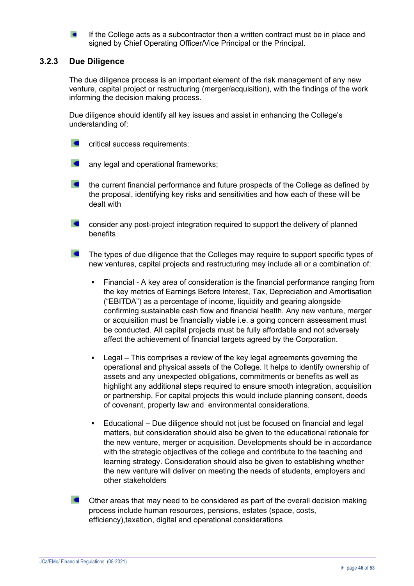If the College acts as a subcontractor then a written contract must be in place and signed by Chief Operating Officer/Vice Principal or the Principal.

#### **3.2.3 Due Diligence**

The due diligence process is an important element of the risk management of any new venture, capital project or restructuring (merger/acquisition), with the findings of the work informing the decision making process.

Due diligence should identify all key issues and assist in enhancing the College's understanding of:

- $\epsilon$ critical success requirements;
- $\blacksquare$ any legal and operational frameworks;
- $\overline{\phantom{a}}$ the current financial performance and future prospects of the College as defined by the proposal, identifying key risks and sensitivities and how each of these will be dealt with
- $\epsilon$ consider any post-project integration required to support the delivery of planned benefits
- $\sim$ The types of due diligence that the Colleges may require to support specific types of new ventures, capital projects and restructuring may include all or a combination of:
	- Financial A key area of consideration is the financial performance ranging from the key metrics of Earnings Before Interest, Tax, Depreciation and Amortisation ("EBITDA") as a percentage of income, liquidity and gearing alongside confirming sustainable cash flow and financial health. Any new venture, merger or acquisition must be financially viable i.e. a going concern assessment must be conducted. All capital projects must be fully affordable and not adversely affect the achievement of financial targets agreed by the Corporation.
	- Legal This comprises a review of the key legal agreements governing the operational and physical assets of the College. It helps to identify ownership of assets and any unexpected obligations, commitments or benefits as well as highlight any additional steps required to ensure smooth integration, acquisition or partnership. For capital projects this would include planning consent, deeds of covenant, property law and environmental considerations.
	- § Educational Due diligence should not just be focused on financial and legal matters, but consideration should also be given to the educational rationale for the new venture, merger or acquisition. Developments should be in accordance with the strategic objectives of the college and contribute to the teaching and learning strategy. Consideration should also be given to establishing whether the new venture will deliver on meeting the needs of students, employers and other stakeholders
- $\overline{\phantom{a}}$ Other areas that may need to be considered as part of the overall decision making process include human resources, pensions, estates (space, costs, efficiency),taxation, digital and operational considerations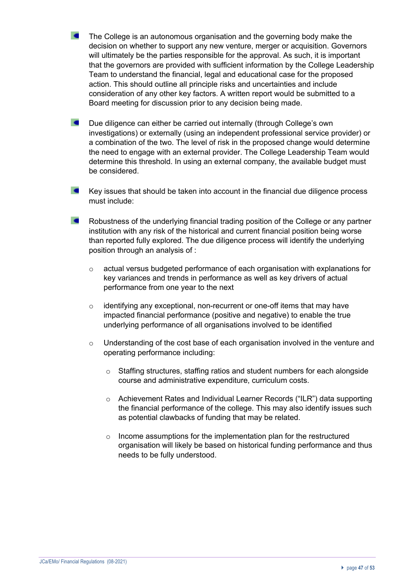- The College is an autonomous organisation and the governing body make the decision on whether to support any new venture, merger or acquisition. Governors will ultimately be the parties responsible for the approval. As such, it is important that the governors are provided with sufficient information by the College Leadership Team to understand the financial, legal and educational case for the proposed action. This should outline all principle risks and uncertainties and include consideration of any other key factors. A written report would be submitted to a Board meeting for discussion prior to any decision being made.
- $\epsilon$ Due diligence can either be carried out internally (through College's own investigations) or externally (using an independent professional service provider) or a combination of the two. The level of risk in the proposed change would determine the need to engage with an external provider. The College Leadership Team would determine this threshold. In using an external company, the available budget must be considered.
- $\epsilon$ Key issues that should be taken into account in the financial due diligence process must include:
- $\overline{a}$ Robustness of the underlying financial trading position of the College or any partner institution with any risk of the historical and current financial position being worse than reported fully explored. The due diligence process will identify the underlying position through an analysis of :
	- o actual versus budgeted performance of each organisation with explanations for key variances and trends in performance as well as key drivers of actual performance from one year to the next
	- o identifying any exceptional, non-recurrent or one-off items that may have impacted financial performance (positive and negative) to enable the true underlying performance of all organisations involved to be identified
	- o Understanding of the cost base of each organisation involved in the venture and operating performance including:
		- o Staffing structures, staffing ratios and student numbers for each alongside course and administrative expenditure, curriculum costs.
		- o Achievement Rates and Individual Learner Records ("ILR") data supporting the financial performance of the college. This may also identify issues such as potential clawbacks of funding that may be related.
		- o Income assumptions for the implementation plan for the restructured organisation will likely be based on historical funding performance and thus needs to be fully understood.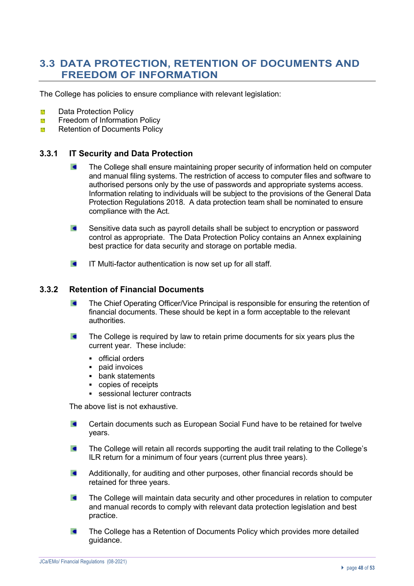# **3.3 DATA PROTECTION, RETENTION OF DOCUMENTS AND FREEDOM OF INFORMATION**

The College has policies to ensure compliance with relevant legislation:

- Ŷ. Data Protection Policy
- Freedom of Information Policy 53
- Retention of Documents Policy 33

#### **3.3.1 IT Security and Data Protection**

- The College shall ensure maintaining proper security of information held on computer and manual filing systems. The restriction of access to computer files and software to authorised persons only by the use of passwords and appropriate systems access. Information relating to individuals will be subject to the provisions of the General Data Protection Regulations 2018. A data protection team shall be nominated to ensure compliance with the Act.
- $\epsilon$ Sensitive data such as payroll details shall be subject to encryption or password control as appropriate. The Data Protection Policy contains an Annex explaining best practice for data security and storage on portable media.
- $\epsilon$ IT Multi-factor authentication is now set up for all staff.

#### **3.3.2 Retention of Financial Documents**

- $\epsilon$ The Chief Operating Officer/Vice Principal is responsible for ensuring the retention of financial documents. These should be kept in a form acceptable to the relevant authorities.
- The College is required by law to retain prime documents for six years plus the  $\epsilon$ current year. These include:
	- official orders
	- paid invoices
	- bank statements
	- copies of receipts
	- sessional lecturer contracts

The above list is not exhaustive.

- $\epsilon$ Certain documents such as European Social Fund have to be retained for twelve years.
- The College will retain all records supporting the audit trail relating to the College's  $\blacksquare$ ILR return for a minimum of four years (current plus three years).
- Additionally, for auditing and other purposes, other financial records should be  $\blacksquare$ retained for three years.
- $\blacksquare$ The College will maintain data security and other procedures in relation to computer and manual records to comply with relevant data protection legislation and best practice.
- $\epsilon$ The College has a Retention of Documents Policy which provides more detailed guidance.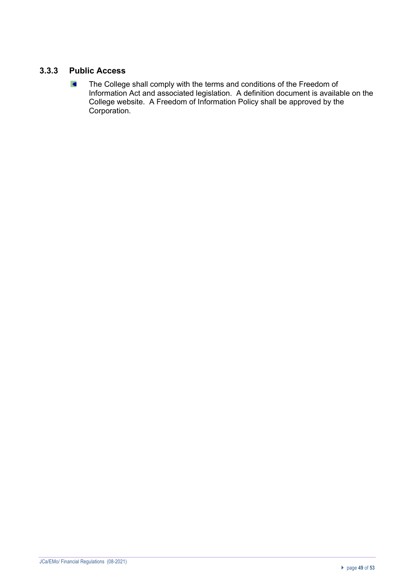# **3.3.3 Public Access**

 $\blacksquare$ The College shall comply with the terms and conditions of the Freedom of Information Act and associated legislation. A definition document is available on the College website. A Freedom of Information Policy shall be approved by the Corporation.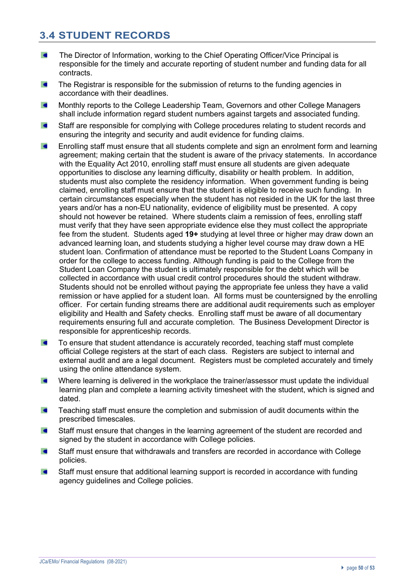# **3.4 STUDENT RECORDS**

- $\blacksquare$ The Director of Information, working to the Chief Operating Officer/Vice Principal is responsible for the timely and accurate reporting of student number and funding data for all contracts.
- $\epsilon$ The Registrar is responsible for the submission of returns to the funding agencies in accordance with their deadlines.
- $\overline{\phantom{a}}$ Monthly reports to the College Leadership Team, Governors and other College Managers shall include information regard student numbers against targets and associated funding.
- $\blacksquare$ Staff are responsible for complying with College procedures relating to student records and ensuring the integrity and security and audit evidence for funding claims.
- Enrolling staff must ensure that all students complete and sign an enrolment form and learning  $\blacksquare$ agreement; making certain that the student is aware of the privacy statements. In accordance with the Equality Act 2010, enrolling staff must ensure all students are given adequate opportunities to disclose any learning difficulty, disability or health problem. In addition, students must also complete the residency information. When government funding is being claimed, enrolling staff must ensure that the student is eligible to receive such funding. In certain circumstances especially when the student has not resided in the UK for the last three years and/or has a non-EU nationality, evidence of eligibility must be presented. A copy should not however be retained. Where students claim a remission of fees, enrolling staff must verify that they have seen appropriate evidence else they must collect the appropriate fee from the student. Students aged **19+** studying at level three or higher may draw down an advanced learning loan**,** and students studying a higher level course may draw down a HE student loan. Confirmation of attendance must be reported to the Student Loans Company in order for the college to access funding. Although funding is paid to the College from the Student Loan Company the student is ultimately responsible for the debt which will be collected in accordance with usual credit control procedures should the student withdraw. Students should not be enrolled without paying the appropriate fee unless they have a valid remission or have applied for a student loan. All forms must be countersigned by the enrolling officer. For certain funding streams there are additional audit requirements such as employer eligibility and Health and Safety checks. Enrolling staff must be aware of all documentary requirements ensuring full and accurate completion. The Business Development Director is responsible for apprenticeship records.
- To ensure that student attendance is accurately recorded, teaching staff must complete  $\blacksquare$ official College registers at the start of each class. Registers are subject to internal and external audit and are a legal document. Registers must be completed accurately and timely using the online attendance system.
- Where learning is delivered in the workplace the trainer/assessor must update the individual learning plan and complete a learning activity timesheet with the student, which is signed and dated.
- $\blacksquare$ Teaching staff must ensure the completion and submission of audit documents within the prescribed timescales.
- $\bullet$ Staff must ensure that changes in the learning agreement of the student are recorded and signed by the student in accordance with College policies.
- Staff must ensure that withdrawals and transfers are recorded in accordance with College  $\epsilon$ policies.
- Staff must ensure that additional learning support is recorded in accordance with funding  $\overline{a}$ agency guidelines and College policies.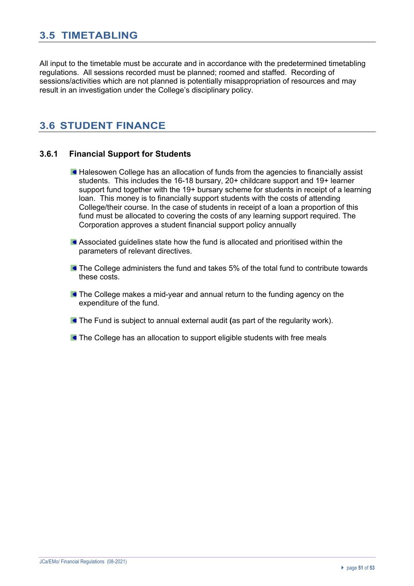# **3.5 TIMETABLING**

All input to the timetable must be accurate and in accordance with the predetermined timetabling regulations. All sessions recorded must be planned; roomed and staffed. Recording of sessions/activities which are not planned is potentially misappropriation of resources and may result in an investigation under the College's disciplinary policy.

# **3.6 STUDENT FINANCE**

## **3.6.1 Financial Support for Students**

- **Halesowen College has an allocation of funds from the agencies to financially assist** students. This includes the 16-18 bursary, 20+ childcare support and 19+ learner support fund together with the 19+ bursary scheme for students in receipt of a learning loan. This money is to financially support students with the costs of attending College/their course. In the case of students in receipt of a loan a proportion of this fund must be allocated to covering the costs of any learning support required. The Corporation approves a student financial support policy annually
- Associated guidelines state how the fund is allocated and prioritised within the parameters of relevant directives.
- **The College administers the fund and takes 5% of the total fund to contribute towards** these costs.
- **The College makes a mid-year and annual return to the funding agency on the** expenditure of the fund.
- The Fund is subject to annual external audit **(**as part of the regularity work).
- **The College has an allocation to support eligible students with free meals**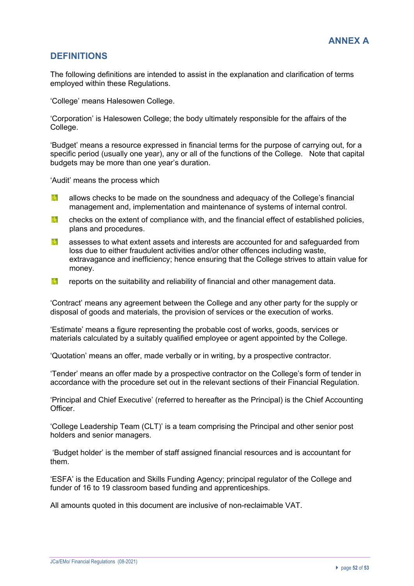# **DEFINITIONS**

The following definitions are intended to assist in the explanation and clarification of terms employed within these Regulations.

'College' means Halesowen College.

'Corporation' is Halesowen College; the body ultimately responsible for the affairs of the College.

'Budget' means a resource expressed in financial terms for the purpose of carrying out, for a specific period (usually one year), any or all of the functions of the College. Note that capital budgets may be more than one year's duration.

'Audit' means the process which

- Y. allows checks to be made on the soundness and adequacy of the College's financial management and, implementation and maintenance of systems of internal control.
- 13 checks on the extent of compliance with, and the financial effect of established policies, plans and procedures.
- Ӣ assesses to what extent assets and interests are accounted for and safeguarded from loss due to either fraudulent activities and/or other offences including waste, extravagance and inefficiency; hence ensuring that the College strives to attain value for money.
- 1. reports on the suitability and reliability of financial and other management data.

'Contract' means any agreement between the College and any other party for the supply or disposal of goods and materials, the provision of services or the execution of works.

'Estimate' means a figure representing the probable cost of works, goods, services or materials calculated by a suitably qualified employee or agent appointed by the College.

'Quotation' means an offer, made verbally or in writing, by a prospective contractor.

'Tender' means an offer made by a prospective contractor on the College's form of tender in accordance with the procedure set out in the relevant sections of their Financial Regulation.

'Principal and Chief Executive' (referred to hereafter as the Principal) is the Chief Accounting **Officer** 

'College Leadership Team (CLT)' is a team comprising the Principal and other senior post holders and senior managers.

'Budget holder' is the member of staff assigned financial resources and is accountant for them.

'ESFA' is the Education and Skills Funding Agency; principal regulator of the College and funder of 16 to 19 classroom based funding and apprenticeships.

All amounts quoted in this document are inclusive of non-reclaimable VAT.